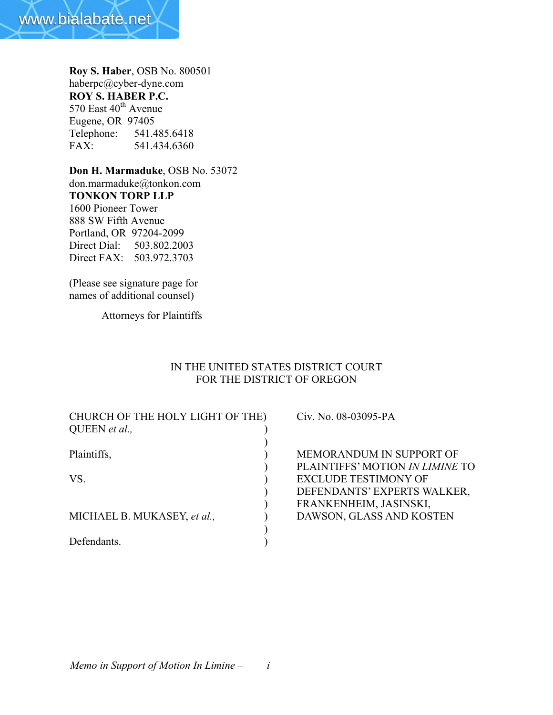

**Roy S. Haber**, OSB No. 800501 haberpc@cyber-dyne.com **ROY S. HABER P.C.** 570 East 40<sup>th</sup> Avenue Eugene, OR 97405<br>Telephone: 541.4 Telephone: 541.485.6418 FAX: 541.434.6360

**Don H. Marmaduke**, OSB No. 53072 don.marmaduke@tonkon.com **TONKON TORP LLP** 1600 Pioneer Tower 888 SW Fifth Avenue Portland, OR 97204-2099 Direct Dial: 503.802.2003 Direct FAX: 503.972.3703

(Please see signature page for names of additional counsel)

Attorneys for Plaintiffs

## IN THE UNITED STATES DISTRICT COURT FOR THE DISTRICT OF OREGON

| Civ. No. 08-03095-PA            |
|---------------------------------|
|                                 |
|                                 |
| MEMORANDUM IN SUPPORT OF        |
| PLAINTIFFS' MOTION IN LIMINE TO |
| <b>EXCLUDE TESTIMONY OF</b>     |
| DEFENDANTS' EXPERTS WALKER,     |
| FRANKENHEIM, JASINSKI,          |
| DAWSON, GLASS AND KOSTEN        |
|                                 |
|                                 |
|                                 |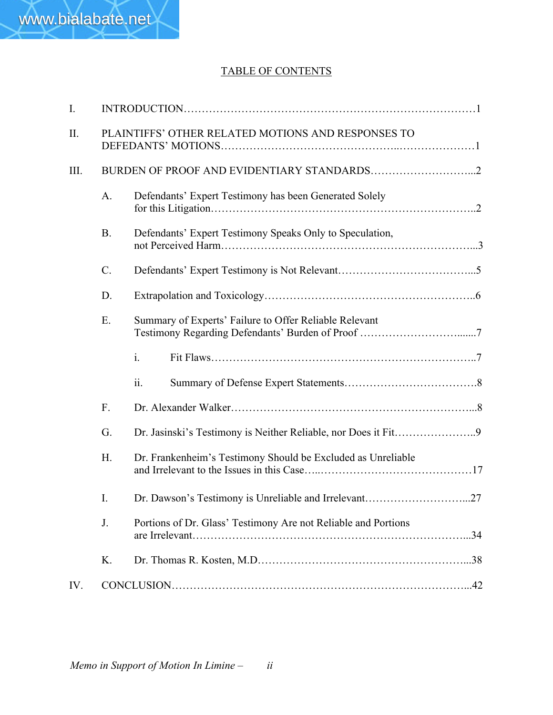# TABLE OF CONTENTS

| I.   |                 |                                                                |  |
|------|-----------------|----------------------------------------------------------------|--|
| II.  |                 | PLAINTIFFS' OTHER RELATED MOTIONS AND RESPONSES TO             |  |
| III. |                 |                                                                |  |
|      | A.              | Defendants' Expert Testimony has been Generated Solely         |  |
|      | <b>B.</b>       | Defendants' Expert Testimony Speaks Only to Speculation,       |  |
|      | $\mathcal{C}$ . |                                                                |  |
|      | D.              |                                                                |  |
|      | Ε.              | Summary of Experts' Failure to Offer Reliable Relevant         |  |
|      |                 | $\mathbf{i}$ .                                                 |  |
|      |                 | 11.                                                            |  |
|      | F.              |                                                                |  |
|      | G.              |                                                                |  |
|      | H.              | Dr. Frankenheim's Testimony Should be Excluded as Unreliable   |  |
|      | I.              |                                                                |  |
|      | J.              | Portions of Dr. Glass' Testimony Are not Reliable and Portions |  |
|      | K.              |                                                                |  |
| IV.  |                 |                                                                |  |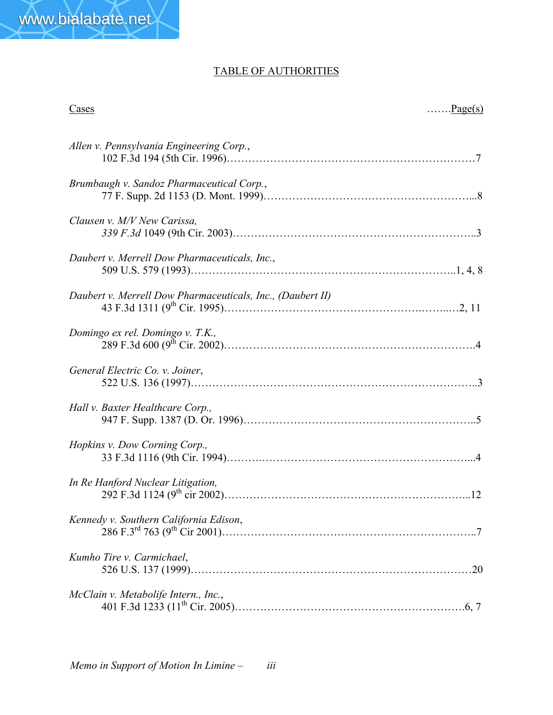# TABLE OF AUTHORITIES

 $\frac{\text{Cases}}{\text{Cases}}$ 

| Allen v. Pennsylvania Engineering Corp.,                   |
|------------------------------------------------------------|
| Brumbaugh v. Sandoz Pharmaceutical Corp.,                  |
| Clausen v. M/V New Carissa,                                |
| Daubert v. Merrell Dow Pharmaceuticals, Inc.,              |
| Daubert v. Merrell Dow Pharmaceuticals, Inc., (Daubert II) |
| Domingo ex rel. Domingo v. T.K.,                           |
| General Electric Co. v. Joiner,                            |
| Hall v. Baxter Healthcare Corp.,                           |
| Hopkins v. Dow Corning Corp.,                              |
| In Re Hanford Nuclear Litigation,                          |
| Kennedy v. Southern California Edison,                     |
| Kumho Tire v. Carmichael,                                  |
| McClain v. Metabolife Intern., Inc.,                       |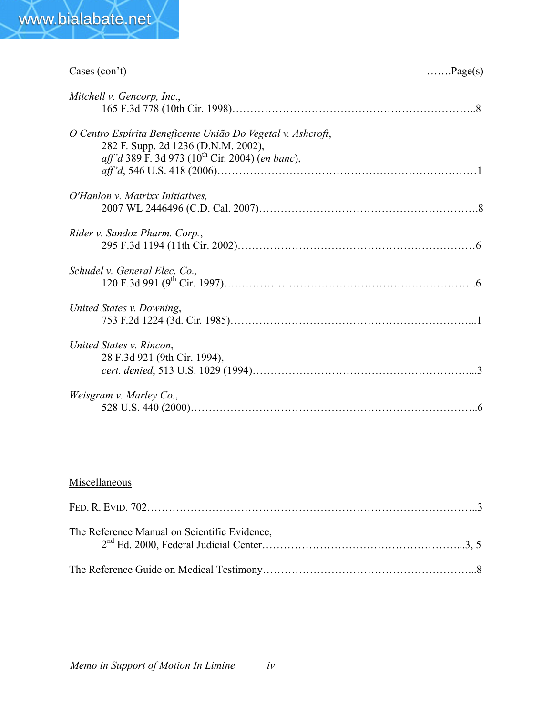

| $\frac{\text{Cases}}{\text{Cous}}(\text{con't})$<br>$\ldots$ Page(s)                                                                                                              |  |
|-----------------------------------------------------------------------------------------------------------------------------------------------------------------------------------|--|
| Mitchell v. Gencorp, Inc.,                                                                                                                                                        |  |
| O Centro Espírita Beneficente União Do Vegetal v. Ashcroft,<br>282 F. Supp. 2d 1236 (D.N.M. 2002),<br><i>aff'd</i> 389 F. 3d 973 (10 <sup>th</sup> Cir. 2004) ( <i>en banc</i> ), |  |
| O'Hanlon v. Matrixx Initiatives.                                                                                                                                                  |  |
| Rider v. Sandoz Pharm. Corp.,                                                                                                                                                     |  |
| Schudel v. General Elec. Co.,                                                                                                                                                     |  |
| United States v. Downing,                                                                                                                                                         |  |
| United States v. Rincon,<br>28 F.3d 921 (9th Cir. 1994),                                                                                                                          |  |
| Weisgram v. Marley Co.,                                                                                                                                                           |  |

# Miscellaneous

| The Reference Manual on Scientific Evidence, |  |
|----------------------------------------------|--|
|                                              |  |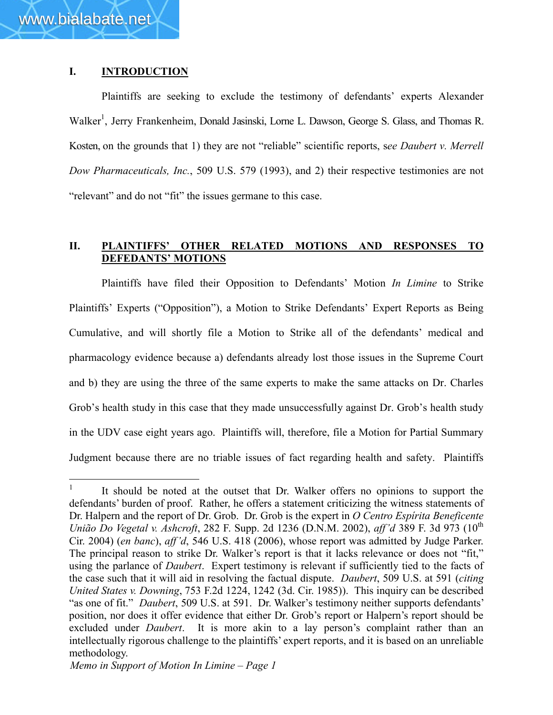### **I. INTRODUCTION**

Plaintiffs are seeking to exclude the testimony of defendants' experts Alexander Walker<sup>1</sup>, Jerry Frankenheim, Donald Jasinski, Lorne L. Dawson, George S. Glass, and Thomas R. Kosten, on the grounds that 1) they are not "reliable" scientific reports, s*ee Daubert v. Merrell Dow Pharmaceuticals, Inc.*, 509 U.S. 579 (1993), and 2) their respective testimonies are not "relevant" and do not "fit" the issues germane to this case.

# **II. PLAINTIFFS' OTHER RELATED MOTIONS AND RESPONSES TO DEFEDANTS' MOTIONS**

Plaintiffs have filed their Opposition to Defendants' Motion *In Limine* to Strike Plaintiffs' Experts ("Opposition"), a Motion to Strike Defendants' Expert Reports as Being Cumulative, and will shortly file a Motion to Strike all of the defendants' medical and pharmacology evidence because a) defendants already lost those issues in the Supreme Court and b) they are using the three of the same experts to make the same attacks on Dr. Charles Grob's health study in this case that they made unsuccessfully against Dr. Grob's health study in the UDV case eight years ago. Plaintiffs will, therefore, file a Motion for Partial Summary Judgment because there are no triable issues of fact regarding health and safety. Plaintiffs

 $\mathbf{1}$ It should be noted at the outset that Dr. Walker offers no opinions to support the defendants' burden of proof. Rather, he offers a statement criticizing the witness statements of Dr. Halpern and the report of Dr. Grob. Dr. Grob is the expert in *O Centro Espírita Beneficente União Do Vegetal v. Ashcroft*, 282 F. Supp. 2d 1236 (D.N.M. 2002), *aff'd* 389 F. 3d 973 (10<sup>th</sup> Cir. 2004) (*en banc*), *aff'd*, 546 U.S. 418 (2006), whose report was admitted by Judge Parker. The principal reason to strike Dr. Walker's report is that it lacks relevance or does not "fit," using the parlance of *Daubert*. Expert testimony is relevant if sufficiently tied to the facts of the case such that it will aid in resolving the factual dispute. *Daubert*, 509 U.S. at 591 (*citing United States v. Downing*, 753 F.2d 1224, 1242 (3d. Cir. 1985)). This inquiry can be described "as one of fit." *Daubert*, 509 U.S. at 591. Dr. Walker's testimony neither supports defendants' position, nor does it offer evidence that either Dr. Grob's report or Halpern's report should be excluded under *Daubert*. It is more akin to a lay person's complaint rather than an intellectually rigorous challenge to the plaintiffs' expert reports, and it is based on an unreliable methodology.

*Memo in Support of Motion In Limine – Page 1*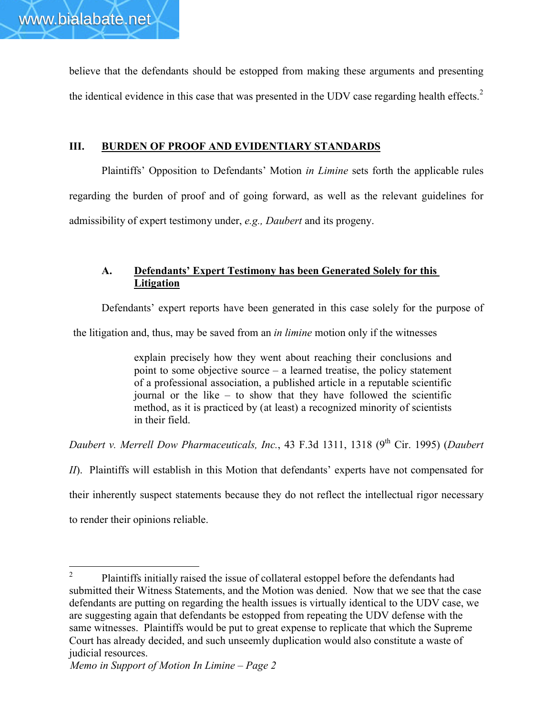believe that the defendants should be estopped from making these arguments and presenting the identical evidence in this case that was presented in the UDV case regarding health effects.<sup>2</sup>

# **III. BURDEN OF PROOF AND EVIDENTIARY STANDARDS**

Plaintiffs' Opposition to Defendants' Motion *in Limine* sets forth the applicable rules regarding the burden of proof and of going forward, as well as the relevant guidelines for admissibility of expert testimony under, *e.g., Daubert* and its progeny.

# **A. Defendants' Expert Testimony has been Generated Solely for this Litigation**

Defendants' expert reports have been generated in this case solely for the purpose of

the litigation and, thus, may be saved from an *in limine* motion only if the witnesses

explain precisely how they went about reaching their conclusions and point to some objective source – a learned treatise, the policy statement of a professional association, a published article in a reputable scientific journal or the like – to show that they have followed the scientific method, as it is practiced by (at least) a recognized minority of scientists in their field.

*Daubert v. Merrell Dow Pharmaceuticals, Inc., 43 F.3d 1311, 1318 (9<sup>th</sup> Cir. 1995) (<i>Daubert* 

*II*). Plaintiffs will establish in this Motion that defendants' experts have not compensated for

their inherently suspect statements because they do not reflect the intellectual rigor necessary

to render their opinions reliable.

 $\overline{2}$ <sup>2</sup> Plaintiffs initially raised the issue of collateral estoppel before the defendants had submitted their Witness Statements, and the Motion was denied. Now that we see that the case defendants are putting on regarding the health issues is virtually identical to the UDV case, we are suggesting again that defendants be estopped from repeating the UDV defense with the same witnesses. Plaintiffs would be put to great expense to replicate that which the Supreme Court has already decided, and such unseemly duplication would also constitute a waste of judicial resources.

*Memo in Support of Motion In Limine – Page 2*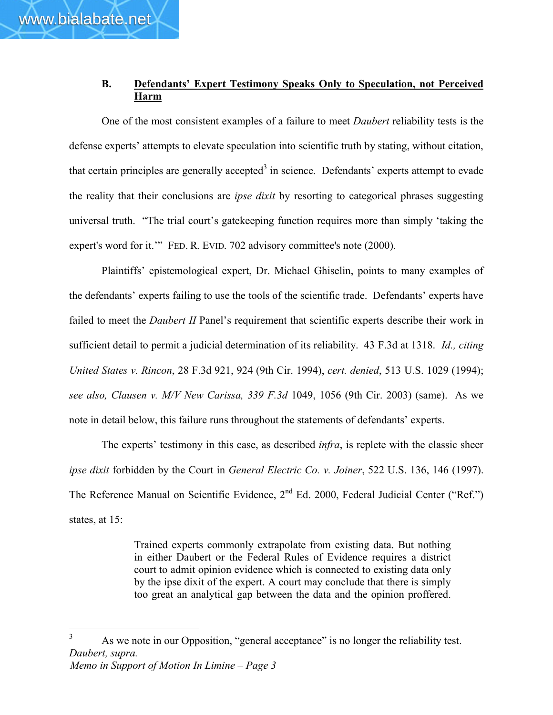# **B. Defendants' Expert Testimony Speaks Only to Speculation, not Perceived Harm**

One of the most consistent examples of a failure to meet *Daubert* reliability tests is the defense experts' attempts to elevate speculation into scientific truth by stating, without citation, that certain principles are generally accepted<sup>3</sup> in science. Defendants' experts attempt to evade the reality that their conclusions are *ipse dixit* by resorting to categorical phrases suggesting universal truth. "The trial court's gatekeeping function requires more than simply 'taking the expert's word for it.'" FED. R. EVID. 702 advisory committee's note (2000).

Plaintiffs' epistemological expert, Dr. Michael Ghiselin, points to many examples of the defendants' experts failing to use the tools of the scientific trade. Defendants' experts have failed to meet the *Daubert II* Panel's requirement that scientific experts describe their work in sufficient detail to permit a judicial determination of its reliability. 43 F.3d at 1318. *Id., citing United States v. Rincon*, 28 F.3d 921, 924 (9th Cir. 1994), *cert. denied*, 513 U.S. 1029 (1994); *see also, Clausen v. M/V New Carissa, 339 F.3d* 1049, 1056 (9th Cir. 2003) (same). As we note in detail below, this failure runs throughout the statements of defendants' experts.

The experts' testimony in this case, as described *infra*, is replete with the classic sheer *ipse dixit* forbidden by the Court in *General Electric Co. v. Joiner*, 522 U.S. 136, 146 (1997). The Reference Manual on Scientific Evidence, 2<sup>nd</sup> Ed. 2000, Federal Judicial Center ("Ref.") states, at 15:

> Trained experts commonly extrapolate from existing data. But nothing in either Daubert or the Federal Rules of Evidence requires a district court to admit opinion evidence which is connected to existing data only by the ipse dixit of the expert. A court may conclude that there is simply too great an analytical gap between the data and the opinion proffered.

*Memo in Support of Motion In Limine – Page 3*  $\overline{3}$ As we note in our Opposition, "general acceptance" is no longer the reliability test. *Daubert, supra.*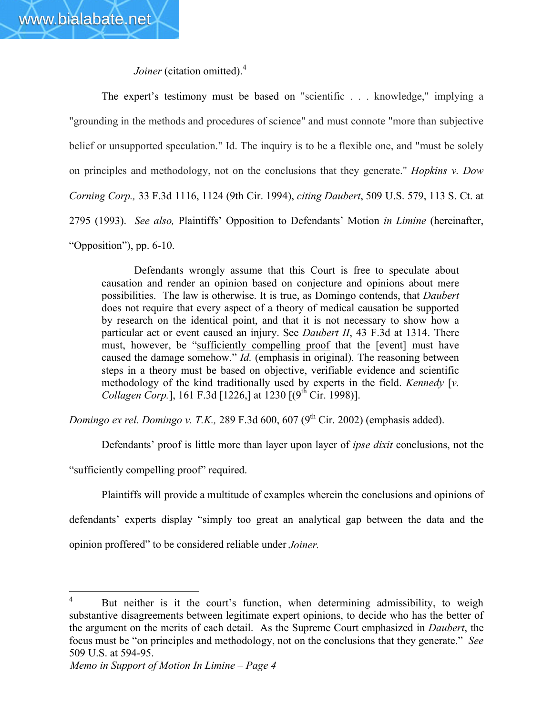*Joiner* (citation omitted).<sup>4</sup>

The expert's testimony must be based on "scientific . . . knowledge," implying a "grounding in the methods and procedures of science" and must connote "more than subjective belief or unsupported speculation." Id. The inquiry is to be a flexible one, and "must be solely on principles and methodology, not on the conclusions that they generate." *Hopkins v. Dow Corning Corp.,* 33 F.3d 1116, 1124 (9th Cir. 1994), *citing Daubert*, 509 U.S. 579, 113 S. Ct. at 2795 (1993). *See also,* Plaintiffs' Opposition to Defendants' Motion *in Limine* (hereinafter, "Opposition"), pp. 6-10.

Defendants wrongly assume that this Court is free to speculate about causation and render an opinion based on conjecture and opinions about mere possibilities. The law is otherwise. It is true, as Domingo contends, that *Daubert* does not require that every aspect of a theory of medical causation be supported by research on the identical point, and that it is not necessary to show how a particular act or event caused an injury. See *Daubert II*, 43 F.3d at 1314. There must, however, be "sufficiently compelling proof that the [event] must have caused the damage somehow." *Id.* (emphasis in original). The reasoning between steps in a theory must be based on objective, verifiable evidence and scientific methodology of the kind traditionally used by experts in the field. *Kennedy* [*v. Collagen Corp.*], 161 F.3d [1226,] at 1230  $[(9<sup>th</sup> Cir. 1998)]$ .

*Domingo ex rel. Domingo v. T.K.,* 289 F.3d 600, 607 (9<sup>th</sup> Cir. 2002) (emphasis added).

Defendants' proof is little more than layer upon layer of *ipse dixit* conclusions, not the

"sufficiently compelling proof" required.

Plaintiffs will provide a multitude of examples wherein the conclusions and opinions of

defendants' experts display "simply too great an analytical gap between the data and the opinion proffered" to be considered reliable under *Joiner.*

 $\overline{4}$ But neither is it the court's function, when determining admissibility, to weigh substantive disagreements between legitimate expert opinions, to decide who has the better of the argument on the merits of each detail. As the Supreme Court emphasized in *Daubert*, the focus must be "on principles and methodology, not on the conclusions that they generate." *See* 509 U.S. at 594-95.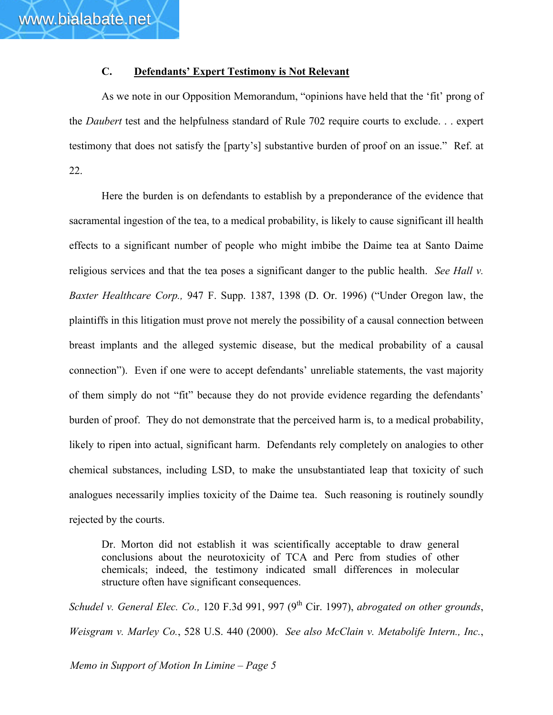# **C. Defendants' Expert Testimony is Not Relevant**

As we note in our Opposition Memorandum, "opinions have held that the 'fit' prong of the *Daubert* test and the helpfulness standard of Rule 702 require courts to exclude. . . expert testimony that does not satisfy the [party's] substantive burden of proof on an issue." Ref. at 22.

Here the burden is on defendants to establish by a preponderance of the evidence that sacramental ingestion of the tea, to a medical probability, is likely to cause significant ill health effects to a significant number of people who might imbibe the Daime tea at Santo Daime religious services and that the tea poses a significant danger to the public health. *See Hall v. Baxter Healthcare Corp.,* 947 F. Supp. 1387, 1398 (D. Or. 1996) ("Under Oregon law, the plaintiffs in this litigation must prove not merely the possibility of a causal connection between breast implants and the alleged systemic disease, but the medical probability of a causal connection"). Even if one were to accept defendants' unreliable statements, the vast majority of them simply do not "fit" because they do not provide evidence regarding the defendants' burden of proof. They do not demonstrate that the perceived harm is, to a medical probability, likely to ripen into actual, significant harm. Defendants rely completely on analogies to other chemical substances, including LSD, to make the unsubstantiated leap that toxicity of such analogues necessarily implies toxicity of the Daime tea. Such reasoning is routinely soundly rejected by the courts.

Dr. Morton did not establish it was scientifically acceptable to draw general conclusions about the neurotoxicity of TCA and Perc from studies of other chemicals; indeed, the testimony indicated small differences in molecular structure often have significant consequences.

*Schudel v. General Elec. Co., 120 F.3d 991, 997 (9<sup>th</sup> Cir. 1997), <i>abrogated on other grounds*, *Weisgram v. Marley Co.*, 528 U.S. 440 (2000). *See also McClain v. Metabolife Intern., Inc.*,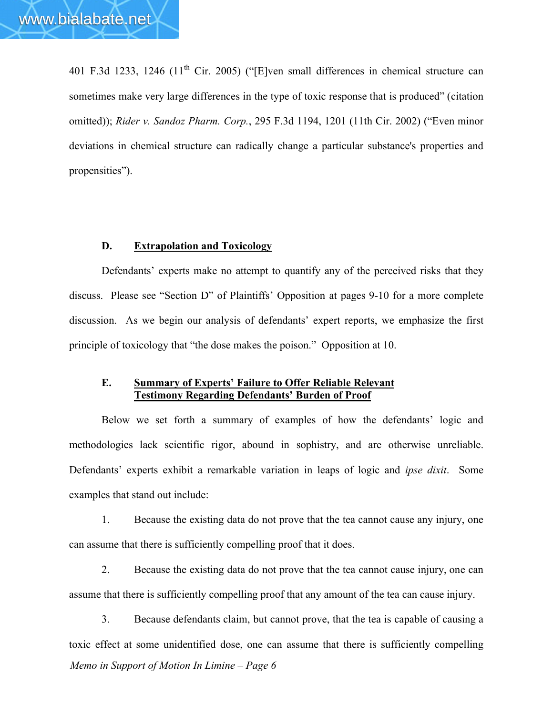401 F.3d 1233, 1246 (11<sup>th</sup> Cir. 2005) ("[E]ven small differences in chemical structure can sometimes make very large differences in the type of toxic response that is produced" (citation omitted)); *Rider v. Sandoz Pharm. Corp.*, 295 F.3d 1194, 1201 (11th Cir. 2002) ("Even minor deviations in chemical structure can radically change a particular substance's properties and propensities").

#### **D. Extrapolation and Toxicology**

Defendants' experts make no attempt to quantify any of the perceived risks that they discuss. Please see "Section D" of Plaintiffs' Opposition at pages 9-10 for a more complete discussion. As we begin our analysis of defendants' expert reports, we emphasize the first principle of toxicology that "the dose makes the poison." Opposition at 10.

#### **E. Summary of Experts' Failure to Offer Reliable Relevant Testimony Regarding Defendants' Burden of Proof**

Below we set forth a summary of examples of how the defendants' logic and methodologies lack scientific rigor, abound in sophistry, and are otherwise unreliable. Defendants' experts exhibit a remarkable variation in leaps of logic and *ipse dixit*. Some examples that stand out include:

1. Because the existing data do not prove that the tea cannot cause any injury, one can assume that there is sufficiently compelling proof that it does.

2. Because the existing data do not prove that the tea cannot cause injury, one can assume that there is sufficiently compelling proof that any amount of the tea can cause injury.

*Memo in Support of Motion In Limine – Page 6* 3. Because defendants claim, but cannot prove, that the tea is capable of causing a toxic effect at some unidentified dose, one can assume that there is sufficiently compelling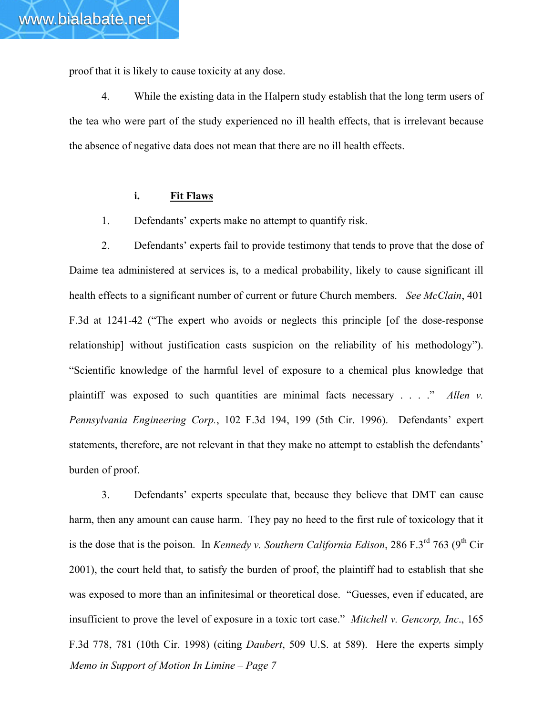proof that it is likely to cause toxicity at any dose.

4. While the existing data in the Halpern study establish that the long term users of the tea who were part of the study experienced no ill health effects, that is irrelevant because the absence of negative data does not mean that there are no ill health effects.

### **i. Fit Flaws**

1. Defendants' experts make no attempt to quantify risk.

2. Defendants' experts fail to provide testimony that tends to prove that the dose of Daime tea administered at services is, to a medical probability, likely to cause significant ill health effects to a significant number of current or future Church members. *See McClain*, 401 F.3d at 1241-42 ("The expert who avoids or neglects this principle [of the dose-response relationship] without justification casts suspicion on the reliability of his methodology"). "Scientific knowledge of the harmful level of exposure to a chemical plus knowledge that plaintiff was exposed to such quantities are minimal facts necessary . . . ." *Allen v. Pennsylvania Engineering Corp.*, 102 F.3d 194, 199 (5th Cir. 1996). Defendants' expert statements, therefore, are not relevant in that they make no attempt to establish the defendants' burden of proof.

*Memo in Support of Motion In Limine – Page 7* 3. Defendants' experts speculate that, because they believe that DMT can cause harm, then any amount can cause harm. They pay no heed to the first rule of toxicology that it is the dose that is the poison. In *Kennedy v. Southern California Edison*, 286 F.3<sup>rd</sup> 763 (9<sup>th</sup> Cir 2001), the court held that, to satisfy the burden of proof, the plaintiff had to establish that she was exposed to more than an infinitesimal or theoretical dose. "Guesses, even if educated, are insufficient to prove the level of exposure in a toxic tort case." *Mitchell v. Gencorp, Inc*., 165 F.3d 778, 781 (10th Cir. 1998) (citing *Daubert*, 509 U.S. at 589). Here the experts simply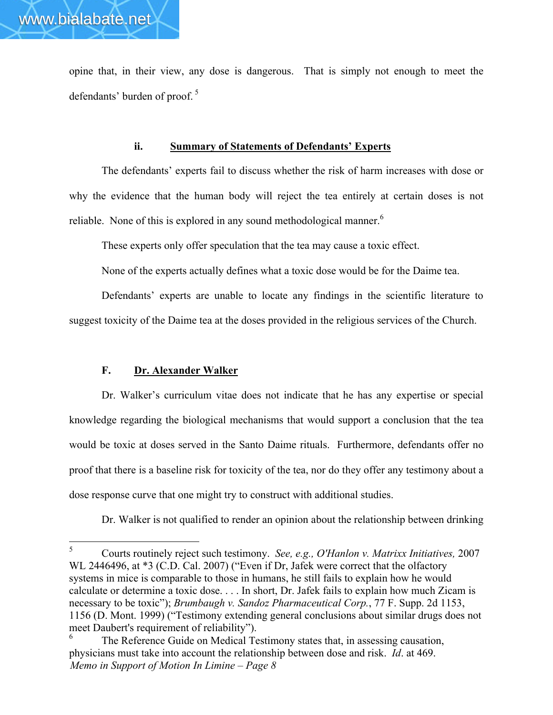opine that, in their view, any dose is dangerous. That is simply not enough to meet the defendants' burden of proof. <sup>5</sup>

#### **ii. Summary of Statements of Defendants' Experts**

The defendants' experts fail to discuss whether the risk of harm increases with dose or why the evidence that the human body will reject the tea entirely at certain doses is not reliable. None of this is explored in any sound methodological manner.<sup>6</sup>

These experts only offer speculation that the tea may cause a toxic effect.

None of the experts actually defines what a toxic dose would be for the Daime tea.

Defendants' experts are unable to locate any findings in the scientific literature to suggest toxicity of the Daime tea at the doses provided in the religious services of the Church.

## **F. Dr. Alexander Walker**

Dr. Walker's curriculum vitae does not indicate that he has any expertise or special knowledge regarding the biological mechanisms that would support a conclusion that the tea would be toxic at doses served in the Santo Daime rituals. Furthermore, defendants offer no proof that there is a baseline risk for toxicity of the tea, nor do they offer any testimony about a dose response curve that one might try to construct with additional studies.

Dr. Walker is not qualified to render an opinion about the relationship between drinking

 $5<sup>5</sup>$ <sup>5</sup> Courts routinely reject such testimony. *See, e.g., O'Hanlon v. Matrixx Initiatives,* 2007 WL 2446496, at \*3 (C.D. Cal. 2007) ("Even if Dr, Jafek were correct that the olfactory systems in mice is comparable to those in humans, he still fails to explain how he would calculate or determine a toxic dose. . . . In short, Dr. Jafek fails to explain how much Zicam is necessary to be toxic"); *Brumbaugh v. Sandoz Pharmaceutical Corp.*, 77 F. Supp. 2d 1153, 1156 (D. Mont. 1999) ("Testimony extending general conclusions about similar drugs does not meet Daubert's requirement of reliability").

*Memo in Support of Motion In Limine – Page 8* The Reference Guide on Medical Testimony states that, in assessing causation, physicians must take into account the relationship between dose and risk. *Id*. at 469.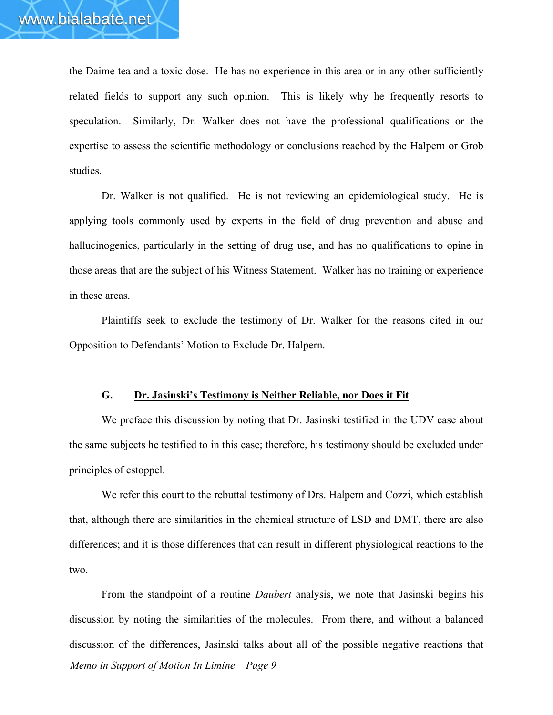the Daime tea and a toxic dose. He has no experience in this area or in any other sufficiently related fields to support any such opinion. This is likely why he frequently resorts to speculation. Similarly, Dr. Walker does not have the professional qualifications or the expertise to assess the scientific methodology or conclusions reached by the Halpern or Grob studies.

Dr. Walker is not qualified. He is not reviewing an epidemiological study. He is applying tools commonly used by experts in the field of drug prevention and abuse and hallucinogenics, particularly in the setting of drug use, and has no qualifications to opine in those areas that are the subject of his Witness Statement. Walker has no training or experience in these areas.

Plaintiffs seek to exclude the testimony of Dr. Walker for the reasons cited in our Opposition to Defendants' Motion to Exclude Dr. Halpern.

#### **G. Dr. Jasinski's Testimony is Neither Reliable, nor Does it Fit**

We preface this discussion by noting that Dr. Jasinski testified in the UDV case about the same subjects he testified to in this case; therefore, his testimony should be excluded under principles of estoppel.

We refer this court to the rebuttal testimony of Drs. Halpern and Cozzi, which establish that, although there are similarities in the chemical structure of LSD and DMT, there are also differences; and it is those differences that can result in different physiological reactions to the two.

*Memo in Support of Motion In Limine – Page 9* From the standpoint of a routine *Daubert* analysis, we note that Jasinski begins his discussion by noting the similarities of the molecules. From there, and without a balanced discussion of the differences, Jasinski talks about all of the possible negative reactions that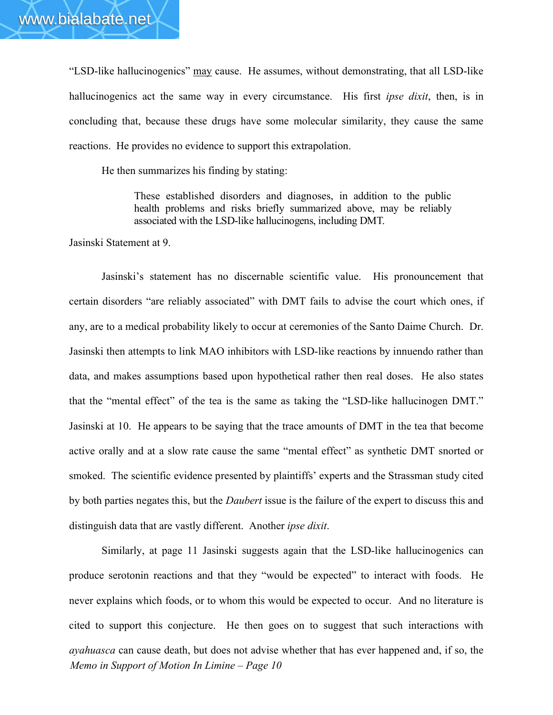"LSD-like hallucinogenics" may cause. He assumes, without demonstrating, that all LSD-like hallucinogenics act the same way in every circumstance. His first *ipse dixit*, then, is in concluding that, because these drugs have some molecular similarity, they cause the same reactions. He provides no evidence to support this extrapolation.

He then summarizes his finding by stating:

These established disorders and diagnoses, in addition to the public health problems and risks briefly summarized above, may be reliably associated with the LSD-like hallucinogens, including DMT.

Jasinski Statement at 9.

Jasinski's statement has no discernable scientific value. His pronouncement that certain disorders "are reliably associated" with DMT fails to advise the court which ones, if any, are to a medical probability likely to occur at ceremonies of the Santo Daime Church. Dr. Jasinski then attempts to link MAO inhibitors with LSD-like reactions by innuendo rather than data, and makes assumptions based upon hypothetical rather then real doses. He also states that the "mental effect" of the tea is the same as taking the "LSD-like hallucinogen DMT." Jasinski at 10. He appears to be saying that the trace amounts of DMT in the tea that become active orally and at a slow rate cause the same "mental effect" as synthetic DMT snorted or smoked. The scientific evidence presented by plaintiffs' experts and the Strassman study cited by both parties negates this, but the *Daubert* issue is the failure of the expert to discuss this and distinguish data that are vastly different. Another *ipse dixit*.

*Memo in Support of Motion In Limine – Page 10* Similarly, at page 11 Jasinski suggests again that the LSD-like hallucinogenics can produce serotonin reactions and that they "would be expected" to interact with foods. He never explains which foods, or to whom this would be expected to occur. And no literature is cited to support this conjecture. He then goes on to suggest that such interactions with *ayahuasca* can cause death, but does not advise whether that has ever happened and, if so, the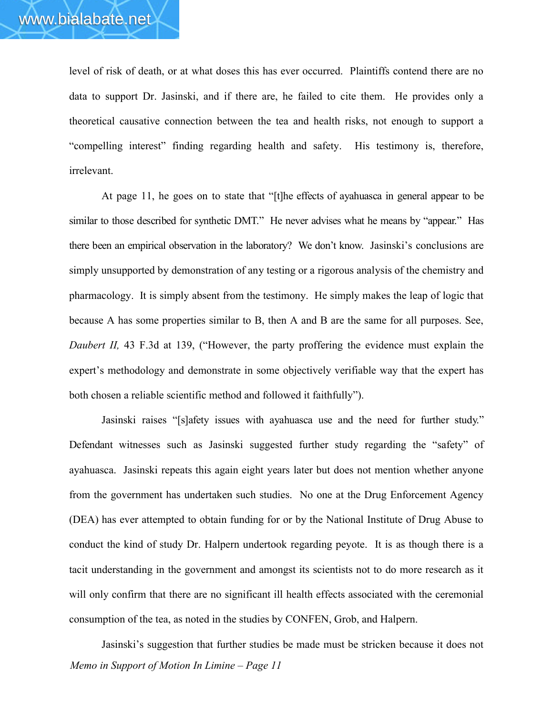level of risk of death, or at what doses this has ever occurred. Plaintiffs contend there are no data to support Dr. Jasinski, and if there are, he failed to cite them. He provides only a theoretical causative connection between the tea and health risks, not enough to support a "compelling interest" finding regarding health and safety. His testimony is, therefore, irrelevant.

At page 11, he goes on to state that "[t]he effects of ayahuasca in general appear to be similar to those described for synthetic DMT." He never advises what he means by "appear." Has there been an empirical observation in the laboratory? We don't know. Jasinski's conclusions are simply unsupported by demonstration of any testing or a rigorous analysis of the chemistry and pharmacology. It is simply absent from the testimony. He simply makes the leap of logic that because A has some properties similar to B, then A and B are the same for all purposes. See, *Daubert II*, 43 F.3d at 139, ("However, the party proffering the evidence must explain the expert's methodology and demonstrate in some objectively verifiable way that the expert has both chosen a reliable scientific method and followed it faithfully").

Jasinski raises "[s]afety issues with ayahuasca use and the need for further study." Defendant witnesses such as Jasinski suggested further study regarding the "safety" of ayahuasca. Jasinski repeats this again eight years later but does not mention whether anyone from the government has undertaken such studies. No one at the Drug Enforcement Agency (DEA) has ever attempted to obtain funding for or by the National Institute of Drug Abuse to conduct the kind of study Dr. Halpern undertook regarding peyote. It is as though there is a tacit understanding in the government and amongst its scientists not to do more research as it will only confirm that there are no significant ill health effects associated with the ceremonial consumption of the tea, as noted in the studies by CONFEN, Grob, and Halpern.

*Memo in Support of Motion In Limine – Page 11* Jasinski's suggestion that further studies be made must be stricken because it does not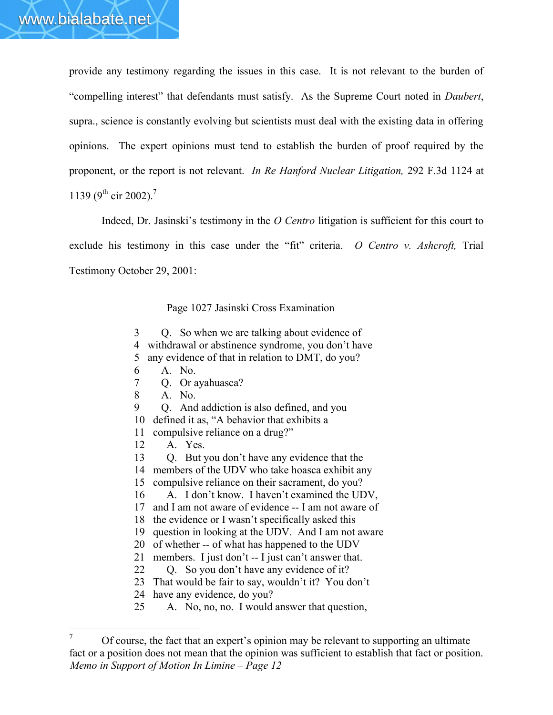provide any testimony regarding the issues in this case. It is not relevant to the burden of "compelling interest" that defendants must satisfy. As the Supreme Court noted in *Daubert*, supra., science is constantly evolving but scientists must deal with the existing data in offering opinions. The expert opinions must tend to establish the burden of proof required by the proponent, or the report is not relevant. *In Re Hanford Nuclear Litigation,* 292 F.3d 1124 at 1139 (9<sup>th</sup> cir 2002).<sup>7</sup>

Indeed, Dr. Jasinski's testimony in the *O Centro* litigation is sufficient for this court to exclude his testimony in this case under the "fit" criteria. *O Centro v. Ashcroft,* Trial Testimony October 29, 2001:

Page 1027 Jasinski Cross Examination

3 Q. So when we are talking about evidence of 4 withdrawal or abstinence syndrome, you don't have 5 any evidence of that in relation to DMT, do you? 6 A. No. 7 Q. Or ayahuasca? 8 A. No. 9 Q. And addiction is also defined, and you 10 defined it as, "A behavior that exhibits a 11 compulsive reliance on a drug?" 12 A. Yes. 13 Q. But you don't have any evidence that the 14 members of the UDV who take hoasca exhibit any 15 compulsive reliance on their sacrament, do you? 16 A. I don't know. I haven't examined the UDV, 17 and I am not aware of evidence -- I am not aware of 18 the evidence or I wasn't specifically asked this 19 question in looking at the UDV. And I am not aware 20 of whether -- of what has happened to the UDV 21 members. I just don't -- I just can't answer that. 22 Q. So you don't have any evidence of it? 23 That would be fair to say, wouldn't it? You don't 24 have any evidence, do you? 25 A. No, no, no. I would answer that question,

*Memo in Support of Motion In Limine – Page 12*  $\boldsymbol{7}$ <sup>7</sup> Of course, the fact that an expert's opinion may be relevant to supporting an ultimate fact or a position does not mean that the opinion was sufficient to establish that fact or position.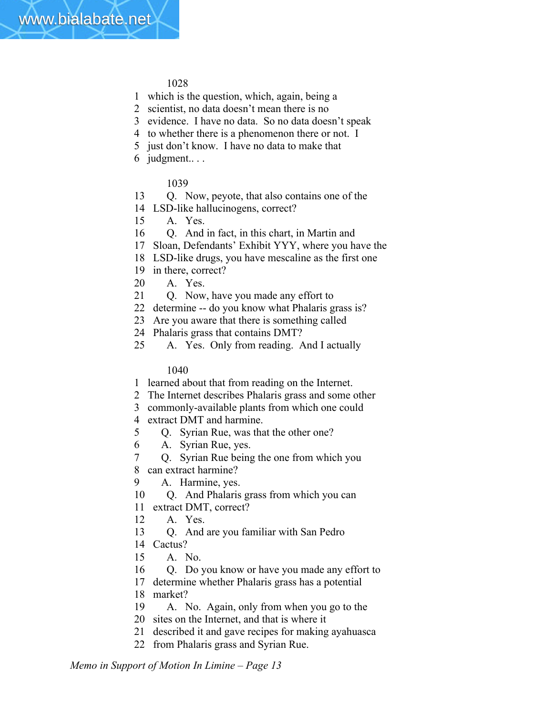- 1 which is the question, which, again, being a
- 2 scientist, no data doesn't mean there is no
- 3 evidence. I have no data. So no data doesn't speak
- 4 to whether there is a phenomenon there or not. I
- 5 just don't know. I have no data to make that
- 6 judgment.. . .

# 1039

- 13 Q. Now, peyote, that also contains one of the
- 14 LSD-like hallucinogens, correct?
- 15 A. Yes.
- 16 Q. And in fact, in this chart, in Martin and
- 17 Sloan, Defendants' Exhibit YYY, where you have the
- 18 LSD-like drugs, you have mescaline as the first one
- 19 in there, correct?
- 20 A. Yes.
- 21 Q. Now, have you made any effort to
- 22 determine -- do you know what Phalaris grass is?
- 23 Are you aware that there is something called
- 24 Phalaris grass that contains DMT?
- 25 A. Yes. Only from reading. And I actually

## 1040

- 1 learned about that from reading on the Internet.
- 2 The Internet describes Phalaris grass and some other
- 3 commonly-available plants from which one could
- 4 extract DMT and harmine.
- 5 Q. Syrian Rue, was that the other one?
- 6 A. Syrian Rue, yes.
- 7 Q. Syrian Rue being the one from which you
- 8 can extract harmine?
- 9 A. Harmine, yes.
- 10 Q. And Phalaris grass from which you can
- 11 extract DMT, correct?
- 12 A. Yes.
- 13 Q. And are you familiar with San Pedro
- 14 Cactus?
- 15 A. No.
- 16 Q. Do you know or have you made any effort to
- 17 determine whether Phalaris grass has a potential
- 18 market?
- 19 A. No. Again, only from when you go to the
- 20 sites on the Internet, and that is where it
- 21 described it and gave recipes for making ayahuasca
- 22 from Phalaris grass and Syrian Rue.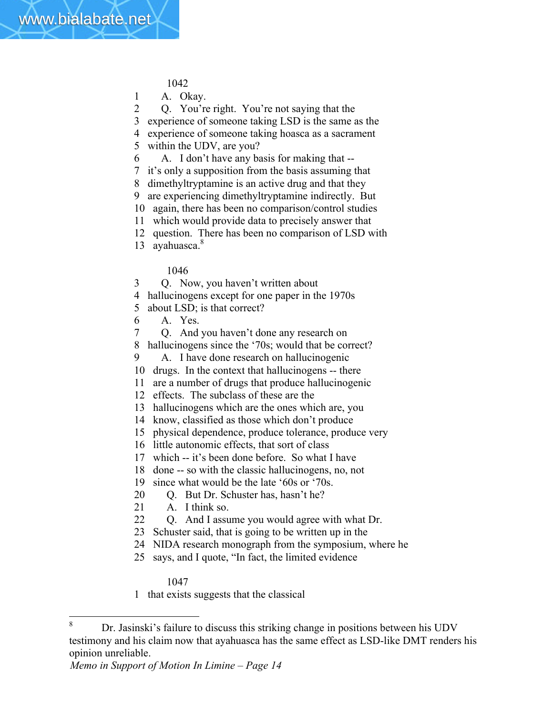1 A. Okay.

2 Q. You're right. You're not saying that the

3 experience of someone taking LSD is the same as the

- 4 experience of someone taking hoasca as a sacrament
- 5 within the UDV, are you?
- 6 A. I don't have any basis for making that --
- 7 it's only a supposition from the basis assuming that
- 8 dimethyltryptamine is an active drug and that they
- 9 are experiencing dimethyltryptamine indirectly. But
- 10 again, there has been no comparison/control studies
- 11 which would provide data to precisely answer that
- 12 question. There has been no comparison of LSD with
- 13 ayahuasca.<sup>8</sup>

# 1046

3 Q. Now, you haven't written about

- 4 hallucinogens except for one paper in the 1970s
- 5 about LSD; is that correct?
- 6 A. Yes.
- 7 Q. And you haven't done any research on
- 8 hallucinogens since the '70s; would that be correct?
- 9 A. I have done research on hallucinogenic
- 10 drugs. In the context that hallucinogens -- there
- 11 are a number of drugs that produce hallucinogenic
- 12 effects. The subclass of these are the
- 13 hallucinogens which are the ones which are, you
- 14 know, classified as those which don't produce
- 15 physical dependence, produce tolerance, produce very
- 16 little autonomic effects, that sort of class
- 17 which -- it's been done before. So what I have
- 18 done -- so with the classic hallucinogens, no, not
- 19 since what would be the late '60s or '70s.
- 20 Q. But Dr. Schuster has, hasn't he?
- 21 A. I think so.
- 22 Q. And I assume you would agree with what Dr.
- 23 Schuster said, that is going to be written up in the
- 24 NIDA research monograph from the symposium, where he
- 25 says, and I quote, "In fact, the limited evidence

## 1047

1 that exists suggests that the classical

<sup>8</sup> <sup>8</sup> Dr. Jasinski's failure to discuss this striking change in positions between his UDV testimony and his claim now that ayahuasca has the same effect as LSD-like DMT renders his opinion unreliable.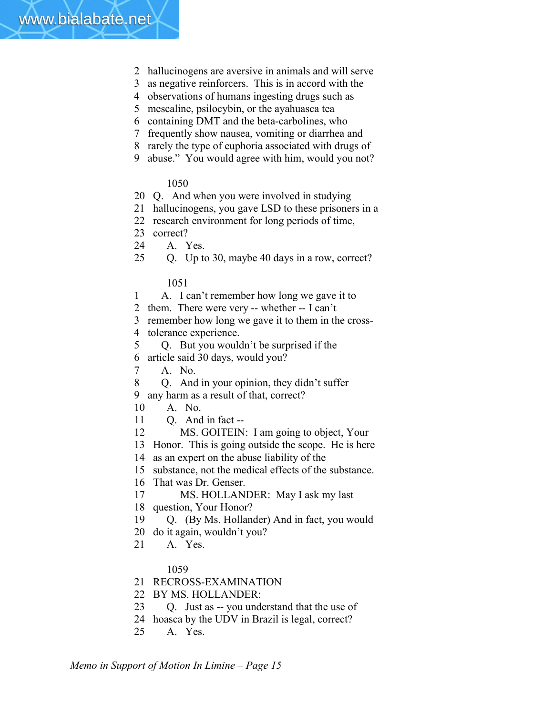

- 2 hallucinogens are aversive in animals and will serve
- 3 as negative reinforcers. This is in accord with the
- 4 observations of humans ingesting drugs such as
- 5 mescaline, psilocybin, or the ayahuasca tea
- 6 containing DMT and the beta-carbolines, who
- 7 frequently show nausea, vomiting or diarrhea and
- 8 rarely the type of euphoria associated with drugs of
- 9 abuse." You would agree with him, would you not?

- 20 Q. And when you were involved in studying
- 21 hallucinogens, you gave LSD to these prisoners in a
- 22 research environment for long periods of time,
- 23 correct?
- 24 A. Yes.
- 25 Q. Up to 30, maybe 40 days in a row, correct?

#### 1051

- 1 A. I can't remember how long we gave it to
- 2 them. There were very -- whether -- I can't
- 3 remember how long we gave it to them in the cross-
- 4 tolerance experience.
- 5 Q. But you wouldn't be surprised if the
- 6 article said 30 days, would you?
- 7 A. No.
- 8 Q. And in your opinion, they didn't suffer
- 9 any harm as a result of that, correct?
- 10 A. No.
- 11 Q. And in fact --
- 12 MS. GOITEIN: I am going to object, Your
- 13 Honor. This is going outside the scope. He is here
- 14 as an expert on the abuse liability of the
- 15 substance, not the medical effects of the substance.
- 16 That was Dr. Genser.
- 17 MS. HOLLANDER: May I ask my last
- 18 question, Your Honor?
- 19 Q. (By Ms. Hollander) And in fact, you would
- 20 do it again, wouldn't you?
- 21 A. Yes.

#### 1059

- 21 RECROSS-EXAMINATION
- 22 BY MS. HOLLANDER:
- 23 Q. Just as -- you understand that the use of
- 24 hoasca by the UDV in Brazil is legal, correct?
- 25 A. Yes.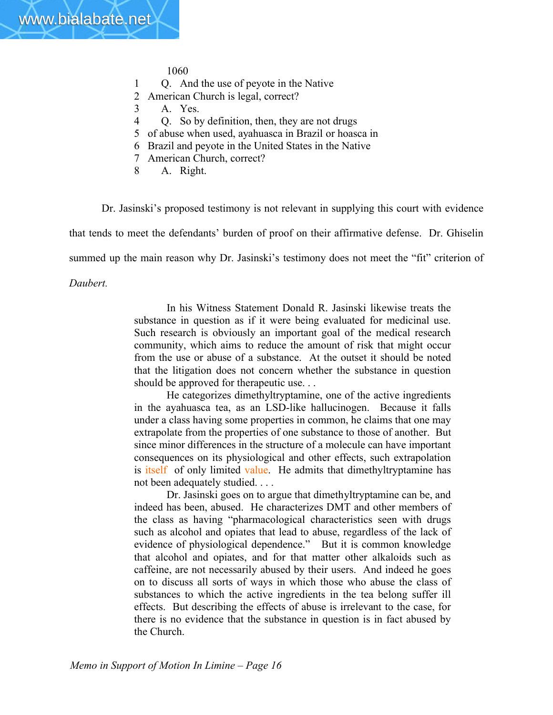- 1 Q. And the use of peyote in the Native
- 2 American Church is legal, correct?
- 3 A. Yes.
- 4 Q. So by definition, then, they are not drugs
- 5 of abuse when used, ayahuasca in Brazil or hoasca in
- 6 Brazil and peyote in the United States in the Native
- 7 American Church, correct?
- 8 A. Right.

Dr. Jasinski's proposed testimony is not relevant in supplying this court with evidence

that tends to meet the defendants' burden of proof on their affirmative defense. Dr. Ghiselin

summed up the main reason why Dr. Jasinski's testimony does not meet the "fit" criterion of

*Daubert.*

In his Witness Statement Donald R. Jasinski likewise treats the substance in question as if it were being evaluated for medicinal use. Such research is obviously an important goal of the medical research community, which aims to reduce the amount of risk that might occur from the use or abuse of a substance. At the outset it should be noted that the litigation does not concern whether the substance in question should be approved for therapeutic use. . .

He categorizes dimethyltryptamine, one of the active ingredients in the ayahuasca tea, as an LSD-like hallucinogen. Because it falls under a class having some properties in common, he claims that one may extrapolate from the properties of one substance to those of another. But since minor differences in the structure of a molecule can have important consequences on its physiological and other effects, such extrapolation is itself of only limited value. He admits that dimethyltryptamine has not been adequately studied. . . .

Dr. Jasinski goes on to argue that dimethyltryptamine can be, and indeed has been, abused. He characterizes DMT and other members of the class as having "pharmacological characteristics seen with drugs such as alcohol and opiates that lead to abuse, regardless of the lack of evidence of physiological dependence." But it is common knowledge that alcohol and opiates, and for that matter other alkaloids such as caffeine, are not necessarily abused by their users. And indeed he goes on to discuss all sorts of ways in which those who abuse the class of substances to which the active ingredients in the tea belong suffer ill effects. But describing the effects of abuse is irrelevant to the case, for there is no evidence that the substance in question is in fact abused by the Church.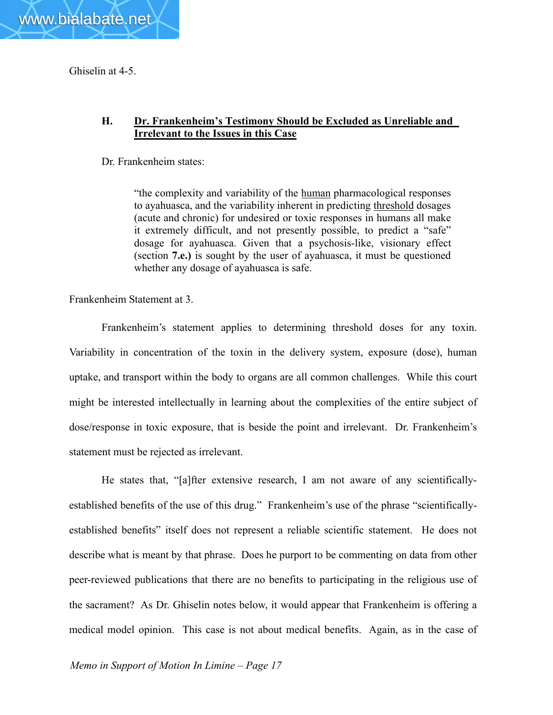

www.bialabate.net

## **H. Dr. Frankenheim's Testimony Should be Excluded as Unreliable and Irrelevant to the Issues in this Case**

Dr. Frankenheim states:

"the complexity and variability of the human pharmacological responses to ayahuasca, and the variability inherent in predicting threshold dosages (acute and chronic) for undesired or toxic responses in humans all make it extremely difficult, and not presently possible, to predict a "safe" dosage for ayahuasca. Given that a psychosis-like, visionary effect (section **7.e.)** is sought by the user of ayahuasca, it must be questioned whether any dosage of ayahuasca is safe.

Frankenheim Statement at 3.

Frankenheim's statement applies to determining threshold doses for any toxin. Variability in concentration of the toxin in the delivery system, exposure (dose), human uptake, and transport within the body to organs are all common challenges. While this court might be interested intellectually in learning about the complexities of the entire subject of dose/response in toxic exposure, that is beside the point and irrelevant. Dr. Frankenheim's statement must be rejected as irrelevant.

He states that, "[a]fter extensive research, I am not aware of any scientificallyestablished benefits of the use of this drug." Frankenheim's use of the phrase "scientificallyestablished benefits" itself does not represent a reliable scientific statement. He does not describe what is meant by that phrase. Does he purport to be commenting on data from other peer-reviewed publications that there are no benefits to participating in the religious use of the sacrament? As Dr. Ghiselin notes below, it would appear that Frankenheim is offering a medical model opinion. This case is not about medical benefits. Again, as in the case of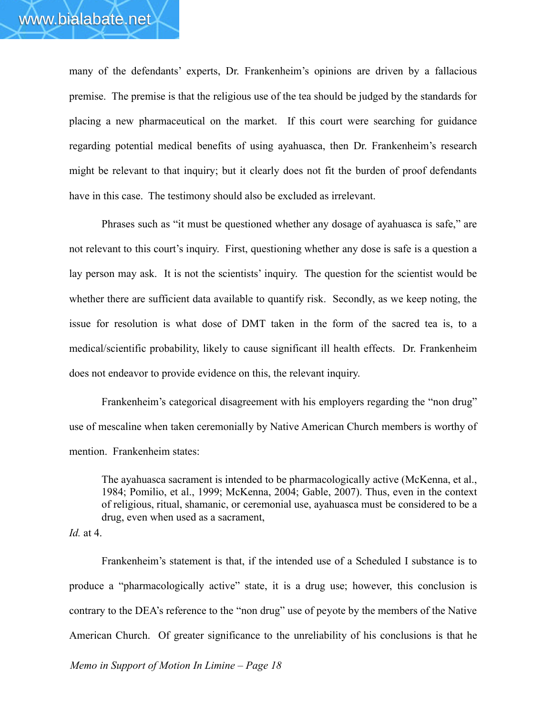many of the defendants' experts, Dr. Frankenheim's opinions are driven by a fallacious premise. The premise is that the religious use of the tea should be judged by the standards for placing a new pharmaceutical on the market. If this court were searching for guidance regarding potential medical benefits of using ayahuasca, then Dr. Frankenheim's research might be relevant to that inquiry; but it clearly does not fit the burden of proof defendants have in this case. The testimony should also be excluded as irrelevant.

Phrases such as "it must be questioned whether any dosage of ayahuasca is safe," are not relevant to this court's inquiry. First, questioning whether any dose is safe is a question a lay person may ask. It is not the scientists' inquiry. The question for the scientist would be whether there are sufficient data available to quantify risk. Secondly, as we keep noting, the issue for resolution is what dose of DMT taken in the form of the sacred tea is, to a medical/scientific probability, likely to cause significant ill health effects. Dr. Frankenheim does not endeavor to provide evidence on this, the relevant inquiry.

Frankenheim's categorical disagreement with his employers regarding the "non drug" use of mescaline when taken ceremonially by Native American Church members is worthy of mention. Frankenheim states:

The ayahuasca sacrament is intended to be pharmacologically active (McKenna, et al., 1984; Pomilio, et al., 1999; McKenna, 2004; Gable, 2007). Thus, even in the context of religious, ritual, shamanic, or ceremonial use, ayahuasca must be considered to be a drug, even when used as a sacrament,

*Id.* at 4.

Frankenheim's statement is that, if the intended use of a Scheduled I substance is to produce a "pharmacologically active" state, it is a drug use; however, this conclusion is contrary to the DEA's reference to the "non drug" use of peyote by the members of the Native American Church. Of greater significance to the unreliability of his conclusions is that he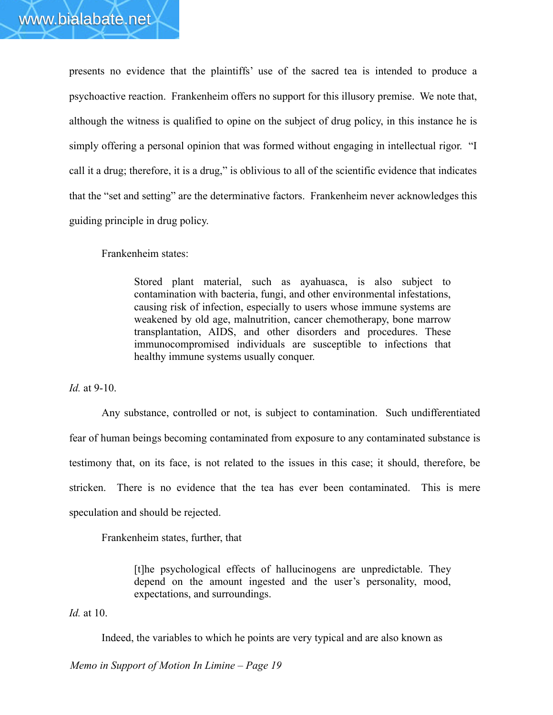presents no evidence that the plaintiffs' use of the sacred tea is intended to produce a psychoactive reaction. Frankenheim offers no support for this illusory premise. We note that, although the witness is qualified to opine on the subject of drug policy, in this instance he is simply offering a personal opinion that was formed without engaging in intellectual rigor. "I call it a drug; therefore, it is a drug," is oblivious to all of the scientific evidence that indicates that the "set and setting" are the determinative factors. Frankenheim never acknowledges this guiding principle in drug policy.

Frankenheim states:

Stored plant material, such as ayahuasca, is also subject to contamination with bacteria, fungi, and other environmental infestations, causing risk of infection, especially to users whose immune systems are weakened by old age, malnutrition, cancer chemotherapy, bone marrow transplantation, AIDS, and other disorders and procedures. These immunocompromised individuals are susceptible to infections that healthy immune systems usually conquer.

*Id.* at 9-10.

Any substance, controlled or not, is subject to contamination. Such undifferentiated fear of human beings becoming contaminated from exposure to any contaminated substance is testimony that, on its face, is not related to the issues in this case; it should, therefore, be stricken. There is no evidence that the tea has ever been contaminated. This is mere speculation and should be rejected.

Frankenheim states, further, that

[t]he psychological effects of hallucinogens are unpredictable. They depend on the amount ingested and the user's personality, mood, expectations, and surroundings.

*Id.* at 10.

Indeed, the variables to which he points are very typical and are also known as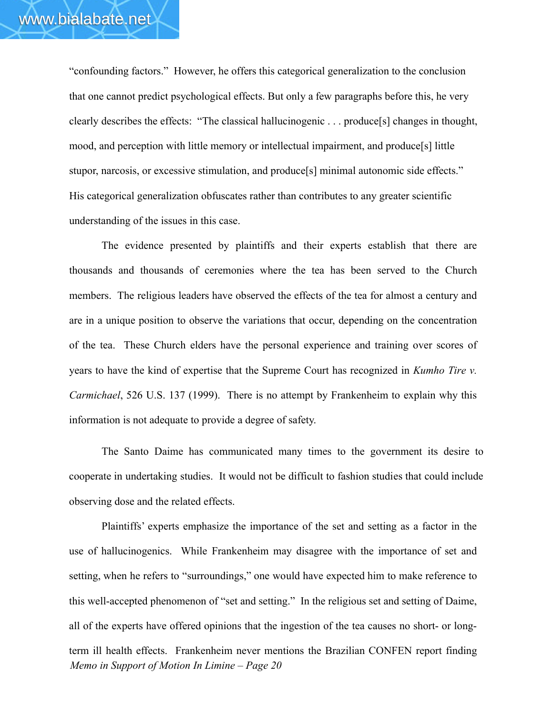"confounding factors." However, he offers this categorical generalization to the conclusion that one cannot predict psychological effects. But only a few paragraphs before this, he very clearly describes the effects: "The classical hallucinogenic . . . produce[s] changes in thought, mood, and perception with little memory or intellectual impairment, and produce[s] little stupor, narcosis, or excessive stimulation, and produce[s] minimal autonomic side effects." His categorical generalization obfuscates rather than contributes to any greater scientific understanding of the issues in this case.

The evidence presented by plaintiffs and their experts establish that there are thousands and thousands of ceremonies where the tea has been served to the Church members. The religious leaders have observed the effects of the tea for almost a century and are in a unique position to observe the variations that occur, depending on the concentration of the tea. These Church elders have the personal experience and training over scores of years to have the kind of expertise that the Supreme Court has recognized in *Kumho Tire v. Carmichael*, 526 U.S. 137 (1999). There is no attempt by Frankenheim to explain why this information is not adequate to provide a degree of safety.

The Santo Daime has communicated many times to the government its desire to cooperate in undertaking studies. It would not be difficult to fashion studies that could include observing dose and the related effects.

*Memo in Support of Motion In Limine – Page 20* Plaintiffs' experts emphasize the importance of the set and setting as a factor in the use of hallucinogenics. While Frankenheim may disagree with the importance of set and setting, when he refers to "surroundings," one would have expected him to make reference to this well-accepted phenomenon of "set and setting." In the religious set and setting of Daime, all of the experts have offered opinions that the ingestion of the tea causes no short- or longterm ill health effects. Frankenheim never mentions the Brazilian CONFEN report finding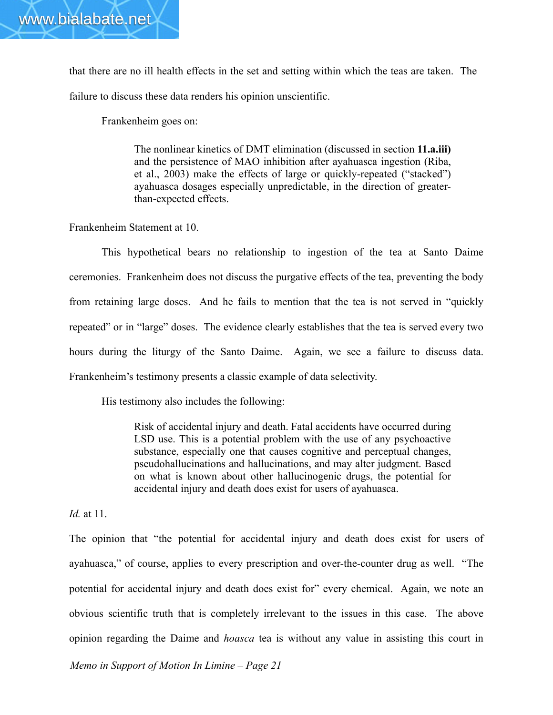that there are no ill health effects in the set and setting within which the teas are taken. The failure to discuss these data renders his opinion unscientific.

Frankenheim goes on:

The nonlinear kinetics of DMT elimination (discussed in section **11.a.iii)**  and the persistence of MAO inhibition after ayahuasca ingestion (Riba, et al., 2003) make the effects of large or quickly-repeated ("stacked") ayahuasca dosages especially unpredictable, in the direction of greaterthan-expected effects.

Frankenheim Statement at 10.

This hypothetical bears no relationship to ingestion of the tea at Santo Daime ceremonies. Frankenheim does not discuss the purgative effects of the tea, preventing the body from retaining large doses. And he fails to mention that the tea is not served in "quickly repeated" or in "large" doses. The evidence clearly establishes that the tea is served every two hours during the liturgy of the Santo Daime. Again, we see a failure to discuss data. Frankenheim's testimony presents a classic example of data selectivity.

His testimony also includes the following:

Risk of accidental injury and death. Fatal accidents have occurred during LSD use. This is a potential problem with the use of any psychoactive substance, especially one that causes cognitive and perceptual changes, pseudohallucinations and hallucinations, and may alter judgment. Based on what is known about other hallucinogenic drugs, the potential for accidental injury and death does exist for users of ayahuasca.

*Id.* at 11.

The opinion that "the potential for accidental injury and death does exist for users of ayahuasca," of course, applies to every prescription and over-the-counter drug as well. "The potential for accidental injury and death does exist for" every chemical. Again, we note an obvious scientific truth that is completely irrelevant to the issues in this case. The above opinion regarding the Daime and *hoasca* tea is without any value in assisting this court in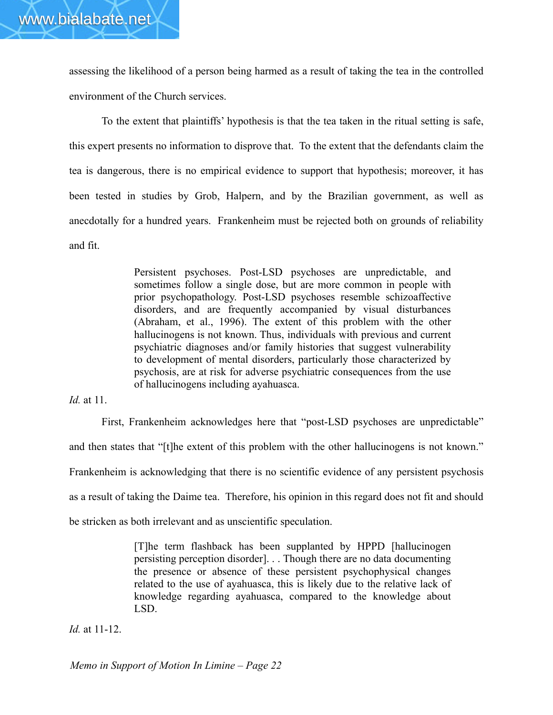assessing the likelihood of a person being harmed as a result of taking the tea in the controlled environment of the Church services.

To the extent that plaintiffs' hypothesis is that the tea taken in the ritual setting is safe, this expert presents no information to disprove that. To the extent that the defendants claim the tea is dangerous, there is no empirical evidence to support that hypothesis; moreover, it has been tested in studies by Grob, Halpern, and by the Brazilian government, as well as anecdotally for a hundred years. Frankenheim must be rejected both on grounds of reliability and fit.

> Persistent psychoses. Post-LSD psychoses are unpredictable, and sometimes follow a single dose, but are more common in people with prior psychopathology. Post-LSD psychoses resemble schizoaffective disorders, and are frequently accompanied by visual disturbances (Abraham, et al., 1996). The extent of this problem with the other hallucinogens is not known. Thus, individuals with previous and current psychiatric diagnoses and/or family histories that suggest vulnerability to development of mental disorders, particularly those characterized by psychosis, are at risk for adverse psychiatric consequences from the use of hallucinogens including ayahuasca.

*Id.* at 11.

First, Frankenheim acknowledges here that "post-LSD psychoses are unpredictable" and then states that "[t]he extent of this problem with the other hallucinogens is not known." Frankenheim is acknowledging that there is no scientific evidence of any persistent psychosis as a result of taking the Daime tea. Therefore, his opinion in this regard does not fit and should be stricken as both irrelevant and as unscientific speculation.

> [T]he term flashback has been supplanted by HPPD [hallucinogen persisting perception disorder]. . . Though there are no data documenting the presence or absence of these persistent psychophysical changes related to the use of ayahuasca, this is likely due to the relative lack of knowledge regarding ayahuasca, compared to the knowledge about LSD.

*Id.* at 11-12.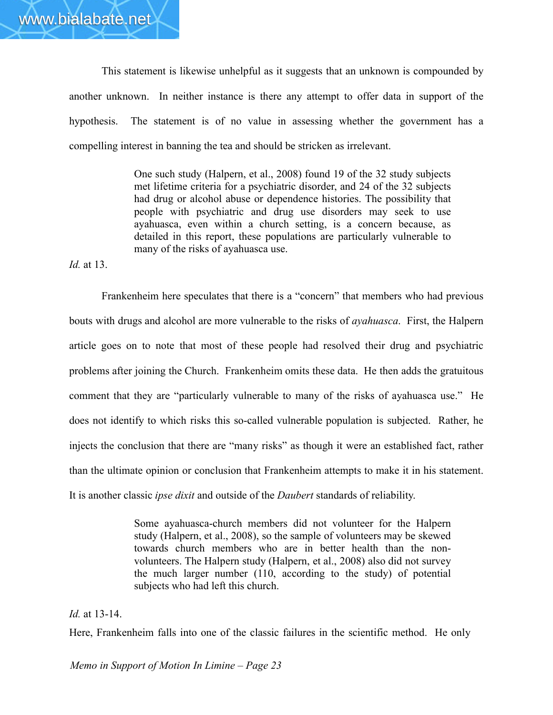This statement is likewise unhelpful as it suggests that an unknown is compounded by another unknown. In neither instance is there any attempt to offer data in support of the hypothesis. The statement is of no value in assessing whether the government has a compelling interest in banning the tea and should be stricken as irrelevant.

> One such study (Halpern, et al., 2008) found 19 of the 32 study subjects met lifetime criteria for a psychiatric disorder, and 24 of the 32 subjects had drug or alcohol abuse or dependence histories. The possibility that people with psychiatric and drug use disorders may seek to use ayahuasca, even within a church setting, is a concern because, as detailed in this report, these populations are particularly vulnerable to many of the risks of ayahuasca use.

*Id.* at 13.

Frankenheim here speculates that there is a "concern" that members who had previous bouts with drugs and alcohol are more vulnerable to the risks of *ayahuasca*. First, the Halpern article goes on to note that most of these people had resolved their drug and psychiatric problems after joining the Church. Frankenheim omits these data. He then adds the gratuitous comment that they are "particularly vulnerable to many of the risks of ayahuasca use." He does not identify to which risks this so-called vulnerable population is subjected. Rather, he injects the conclusion that there are "many risks" as though it were an established fact, rather than the ultimate opinion or conclusion that Frankenheim attempts to make it in his statement. It is another classic *ipse dixit* and outside of the *Daubert* standards of reliability.

> Some ayahuasca-church members did not volunteer for the Halpern study (Halpern, et al., 2008), so the sample of volunteers may be skewed towards church members who are in better health than the nonvolunteers. The Halpern study (Halpern, et al., 2008) also did not survey the much larger number (110, according to the study) of potential subjects who had left this church.

*Id.* at 13-14.

Here, Frankenheim falls into one of the classic failures in the scientific method. He only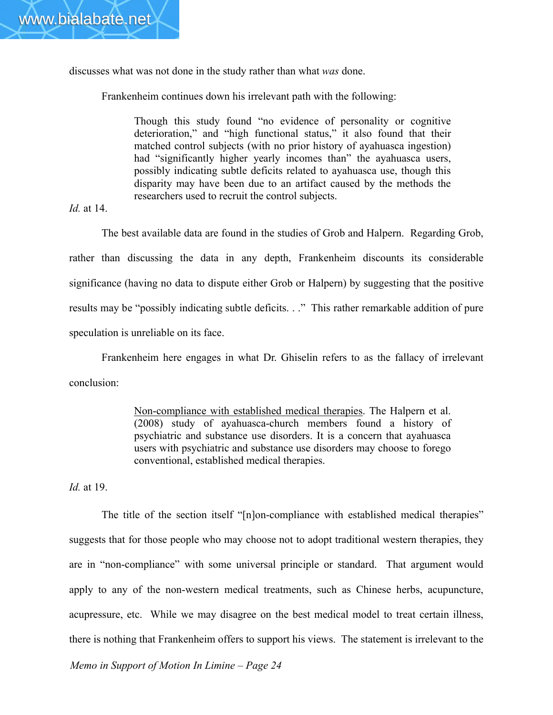discusses what was not done in the study rather than what *was* done.

Frankenheim continues down his irrelevant path with the following:

Though this study found "no evidence of personality or cognitive deterioration," and "high functional status," it also found that their matched control subjects (with no prior history of ayahuasca ingestion) had "significantly higher yearly incomes than" the ayahuasca users, possibly indicating subtle deficits related to ayahuasca use, though this disparity may have been due to an artifact caused by the methods the researchers used to recruit the control subjects.

*Id.* at 14.

The best available data are found in the studies of Grob and Halpern. Regarding Grob, rather than discussing the data in any depth, Frankenheim discounts its considerable significance (having no data to dispute either Grob or Halpern) by suggesting that the positive results may be "possibly indicating subtle deficits. . ." This rather remarkable addition of pure speculation is unreliable on its face.

Frankenheim here engages in what Dr. Ghiselin refers to as the fallacy of irrelevant conclusion:

> Non-compliance with established medical therapies. The Halpern et al. (2008) study of ayahuasca-church members found a history of psychiatric and substance use disorders. It is a concern that ayahuasca users with psychiatric and substance use disorders may choose to forego conventional, established medical therapies.

*Id.* at 19.

The title of the section itself "[n]on-compliance with established medical therapies" suggests that for those people who may choose not to adopt traditional western therapies, they are in "non-compliance" with some universal principle or standard. That argument would apply to any of the non-western medical treatments, such as Chinese herbs, acupuncture, acupressure, etc. While we may disagree on the best medical model to treat certain illness, there is nothing that Frankenheim offers to support his views. The statement is irrelevant to the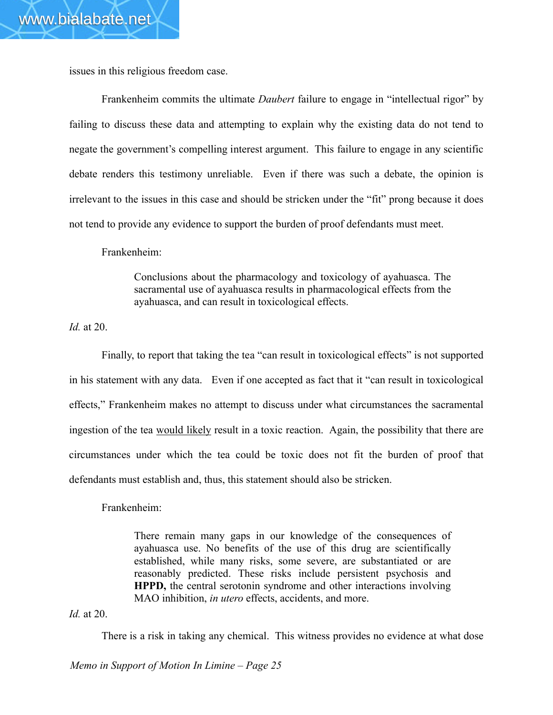issues in this religious freedom case.

Frankenheim commits the ultimate *Daubert* failure to engage in "intellectual rigor" by failing to discuss these data and attempting to explain why the existing data do not tend to negate the government's compelling interest argument. This failure to engage in any scientific debate renders this testimony unreliable. Even if there was such a debate, the opinion is irrelevant to the issues in this case and should be stricken under the "fit" prong because it does not tend to provide any evidence to support the burden of proof defendants must meet.

Frankenheim:

Conclusions about the pharmacology and toxicology of ayahuasca. The sacramental use of ayahuasca results in pharmacological effects from the ayahuasca, and can result in toxicological effects.

*Id.* at 20.

Finally, to report that taking the tea "can result in toxicological effects" is not supported in his statement with any data. Even if one accepted as fact that it "can result in toxicological effects," Frankenheim makes no attempt to discuss under what circumstances the sacramental ingestion of the tea would likely result in a toxic reaction. Again, the possibility that there are circumstances under which the tea could be toxic does not fit the burden of proof that defendants must establish and, thus, this statement should also be stricken.

Frankenheim:

There remain many gaps in our knowledge of the consequences of ayahuasca use. No benefits of the use of this drug are scientifically established, while many risks, some severe, are substantiated or are reasonably predicted. These risks include persistent psychosis and **HPPD,** the central serotonin syndrome and other interactions involving MAO inhibition, *in utero* effects, accidents, and more.

*Id.* at 20.

There is a risk in taking any chemical. This witness provides no evidence at what dose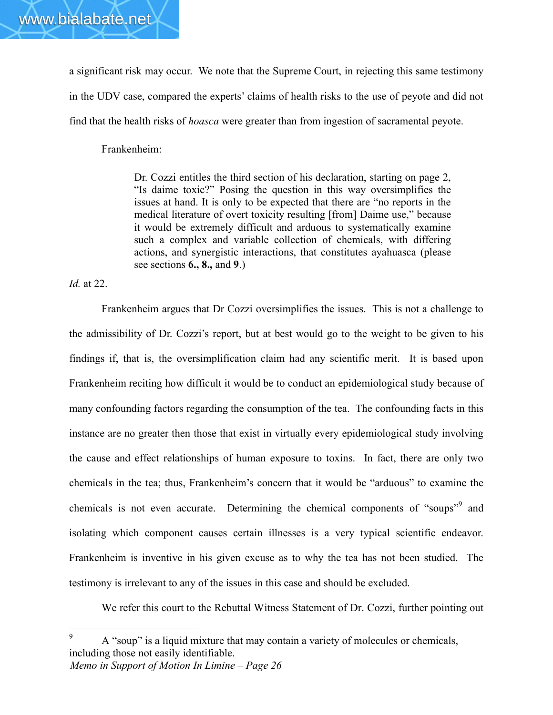a significant risk may occur. We note that the Supreme Court, in rejecting this same testimony in the UDV case, compared the experts' claims of health risks to the use of peyote and did not find that the health risks of *hoasca* were greater than from ingestion of sacramental peyote.

Frankenheim:

Dr. Cozzi entitles the third section of his declaration, starting on page 2, "Is daime toxic?" Posing the question in this way oversimplifies the issues at hand. It is only to be expected that there are "no reports in the medical literature of overt toxicity resulting [from] Daime use," because it would be extremely difficult and arduous to systematically examine such a complex and variable collection of chemicals, with differing actions, and synergistic interactions, that constitutes ayahuasca (please see sections **6., 8.,** and **9**.)

*Id.* at 22.

Frankenheim argues that Dr Cozzi oversimplifies the issues. This is not a challenge to the admissibility of Dr. Cozzi's report, but at best would go to the weight to be given to his findings if, that is, the oversimplification claim had any scientific merit. It is based upon Frankenheim reciting how difficult it would be to conduct an epidemiological study because of many confounding factors regarding the consumption of the tea. The confounding facts in this instance are no greater then those that exist in virtually every epidemiological study involving the cause and effect relationships of human exposure to toxins. In fact, there are only two chemicals in the tea; thus, Frankenheim's concern that it would be "arduous" to examine the chemicals is not even accurate. Determining the chemical components of "soups"<sup>9</sup> and isolating which component causes certain illnesses is a very typical scientific endeavor. Frankenheim is inventive in his given excuse as to why the tea has not been studied. The testimony is irrelevant to any of the issues in this case and should be excluded.

We refer this court to the Rebuttal Witness Statement of Dr. Cozzi, further pointing out

*Memo in Support of Motion In Limine – Page 26* 9 A "soup" is a liquid mixture that may contain a variety of molecules or chemicals, including those not easily identifiable.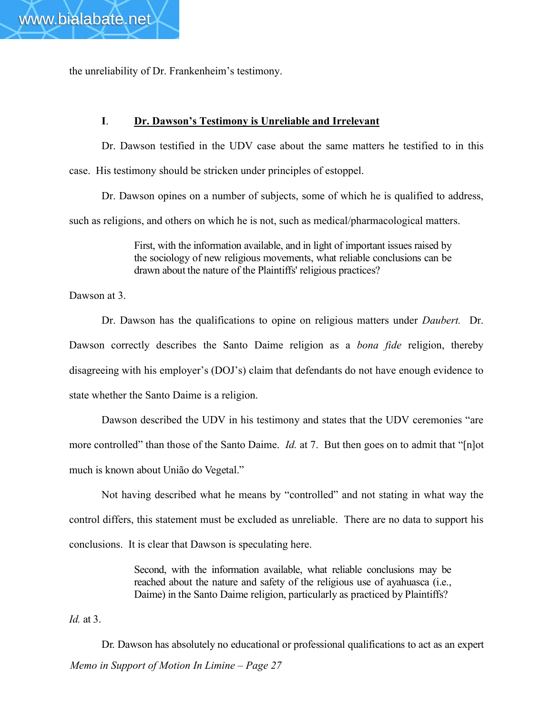the unreliability of Dr. Frankenheim's testimony.

# **I**. **Dr. Dawson's Testimony is Unreliable and Irrelevant**

Dr. Dawson testified in the UDV case about the same matters he testified to in this case. His testimony should be stricken under principles of estoppel.

Dr. Dawson opines on a number of subjects, some of which he is qualified to address, such as religions, and others on which he is not, such as medical/pharmacological matters.

> First, with the information available, and in light of important issues raised by the sociology of new religious movements, what reliable conclusions can be drawn about the nature of the Plaintiffs' religious practices?

Dawson at 3.

Dr. Dawson has the qualifications to opine on religious matters under *Daubert.* Dr. Dawson correctly describes the Santo Daime religion as a *bona fide* religion, thereby disagreeing with his employer's (DOJ's) claim that defendants do not have enough evidence to state whether the Santo Daime is a religion.

Dawson described the UDV in his testimony and states that the UDV ceremonies "are more controlled" than those of the Santo Daime. *Id.* at 7. But then goes on to admit that "[n]ot much is known about União do Vegetal."

Not having described what he means by "controlled" and not stating in what way the control differs, this statement must be excluded as unreliable. There are no data to support his conclusions. It is clear that Dawson is speculating here.

> Second, with the information available, what reliable conclusions may be reached about the nature and safety of the religious use of ayahuasca (i.e., Daime) in the Santo Daime religion, particularly as practiced by Plaintiffs?

*Id.* at 3.

*Memo in Support of Motion In Limine – Page 27* Dr. Dawson has absolutely no educational or professional qualifications to act as an expert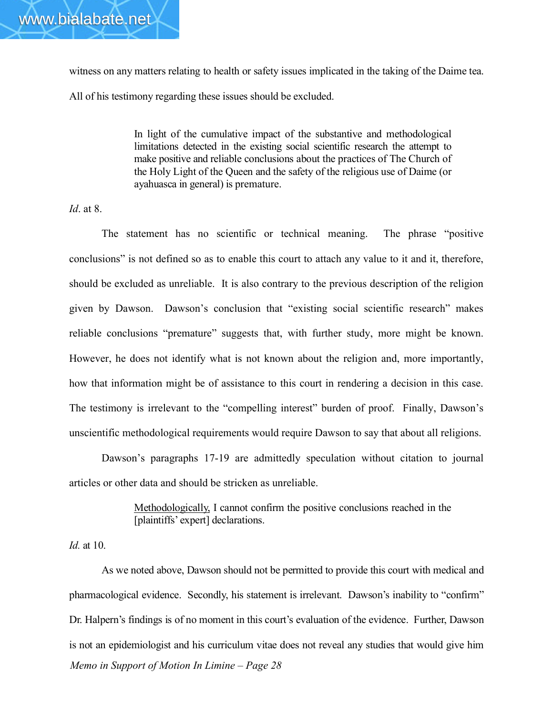witness on any matters relating to health or safety issues implicated in the taking of the Daime tea. All of his testimony regarding these issues should be excluded.

> In light of the cumulative impact of the substantive and methodological limitations detected in the existing social scientific research the attempt to make positive and reliable conclusions about the practices of The Church of the Holy Light of the Queen and the safety of the religious use of Daime (or ayahuasca in general) is premature.

*Id*. at 8.

The statement has no scientific or technical meaning. The phrase "positive conclusions" is not defined so as to enable this court to attach any value to it and it, therefore, should be excluded as unreliable. It is also contrary to the previous description of the religion given by Dawson. Dawson's conclusion that "existing social scientific research" makes reliable conclusions "premature" suggests that, with further study, more might be known. However, he does not identify what is not known about the religion and, more importantly, how that information might be of assistance to this court in rendering a decision in this case. The testimony is irrelevant to the "compelling interest" burden of proof. Finally, Dawson's unscientific methodological requirements would require Dawson to say that about all religions.

Dawson's paragraphs 17-19 are admittedly speculation without citation to journal articles or other data and should be stricken as unreliable.

> Methodologically, I cannot confirm the positive conclusions reached in the [plaintiffs' expert] declarations.

*Id.* at 10.

*Memo in Support of Motion In Limine – Page 28* As we noted above, Dawson should not be permitted to provide this court with medical and pharmacological evidence. Secondly, his statement is irrelevant. Dawson's inability to "confirm" Dr. Halpern's findings is of no moment in this court's evaluation of the evidence. Further, Dawson is not an epidemiologist and his curriculum vitae does not reveal any studies that would give him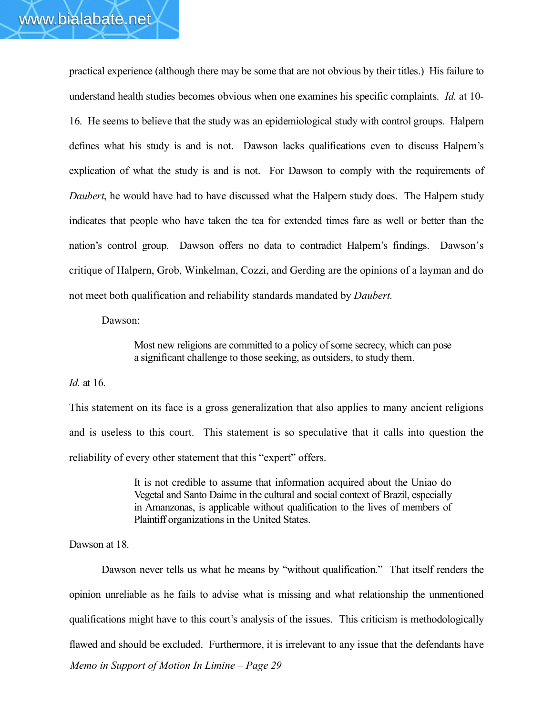practical experience (although there may be some that are not obvious by their titles.) His failure to understand health studies becomes obvious when one examines his specific complaints. *Id.* at 10- 16. He seems to believe that the study was an epidemiological study with control groups. Halpern defines what his study is and is not. Dawson lacks qualifications even to discuss Halpern's explication of what the study is and is not. For Dawson to comply with the requirements of *Daubert*, he would have had to have discussed what the Halpern study does. The Halpern study indicates that people who have taken the tea for extended times fare as well or better than the nation's control group. Dawson offers no data to contradict Halpern's findings. Dawson's critique of Halpern, Grob, Winkelman, Cozzi, and Gerding are the opinions of a layman and do not meet both qualification and reliability standards mandated by *Daubert.*

#### Dawson:

Most new religions are committed to a policy of some secrecy, which can pose a significant challenge to those seeking, as outsiders, to study them.

#### *Id.* at 16.

This statement on its face is a gross generalization that also applies to many ancient religions and is useless to this court. This statement is so speculative that it calls into question the reliability of every other statement that this "expert" offers.

> It is not credible to assume that information acquired about the Uniao do Vegetal and Santo Daime in the cultural and social context of Brazil, especially in Amanzonas, is applicable without qualification to the lives of members of Plaintiff organizations in the United States.

#### Dawson at 18.

*Memo in Support of Motion In Limine – Page 29* Dawson never tells us what he means by "without qualification." That itself renders the opinion unreliable as he fails to advise what is missing and what relationship the unmentioned qualifications might have to this court's analysis of the issues. This criticism is methodologically flawed and should be excluded. Furthermore, it is irrelevant to any issue that the defendants have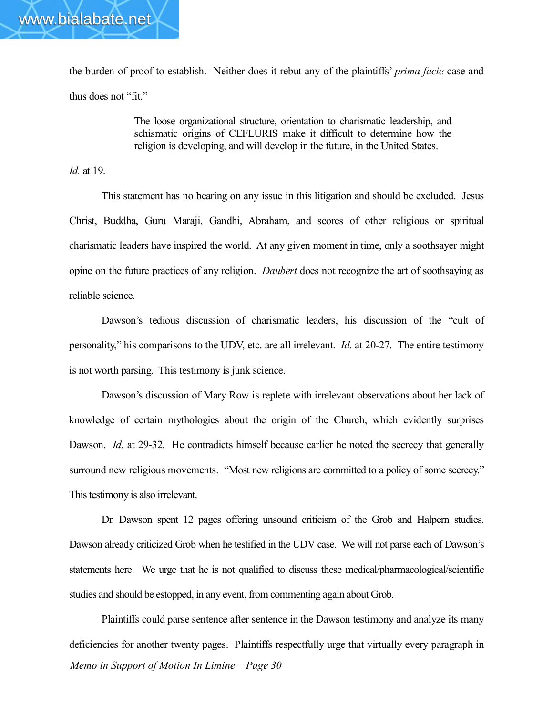the burden of proof to establish. Neither does it rebut any of the plaintiffs' *prima facie* case and thus does not "fit."

> The loose organizational structure, orientation to charismatic leadership, and schismatic origins of CEFLURIS make it difficult to determine how the religion is developing, and will develop in the future, in the United States.

*Id.* at 19.

This statement has no bearing on any issue in this litigation and should be excluded. Jesus Christ, Buddha, Guru Maraji, Gandhi, Abraham, and scores of other religious or spiritual charismatic leaders have inspired the world. At any given moment in time, only a soothsayer might opine on the future practices of any religion. *Daubert* does not recognize the art of soothsaying as reliable science.

Dawson's tedious discussion of charismatic leaders, his discussion of the "cult of personality," his comparisons to the UDV, etc. are all irrelevant. *Id.* at 20-27. The entire testimony is not worth parsing. This testimony is junk science.

Dawson's discussion of Mary Row is replete with irrelevant observations about her lack of knowledge of certain mythologies about the origin of the Church, which evidently surprises Dawson. *Id.* at 29-32. He contradicts himself because earlier he noted the secrecy that generally surround new religious movements. "Most new religions are committed to a policy of some secrecy." This testimony is also irrelevant.

Dr. Dawson spent 12 pages offering unsound criticism of the Grob and Halpern studies. Dawson already criticized Grob when he testified in the UDV case. We will not parse each of Dawson's statements here. We urge that he is not qualified to discuss these medical/pharmacological/scientific studies and should be estopped, in any event, from commenting again about Grob.

*Memo in Support of Motion In Limine – Page 30* Plaintiffs could parse sentence after sentence in the Dawson testimony and analyze its many deficiencies for another twenty pages. Plaintiffs respectfully urge that virtually every paragraph in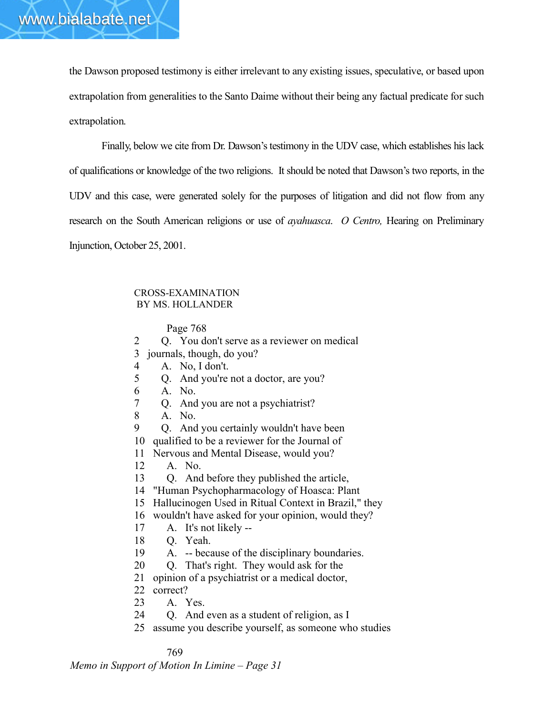the Dawson proposed testimony is either irrelevant to any existing issues, speculative, or based upon extrapolation from generalities to the Santo Daime without their being any factual predicate for such extrapolation.

Finally, below we cite from Dr. Dawson's testimony in the UDV case, which establishes his lack of qualifications or knowledge of the two religions. It should be noted that Dawson's two reports, in the UDV and this case, were generated solely for the purposes of litigation and did not flow from any research on the South American religions or use of *ayahuasca*. *O Centro,* Hearing on Preliminary Injunction, October 25, 2001.

#### CROSS-EXAMINATION BY MS. HOLLANDER

#### Page 768

2 Q. You don't serve as a reviewer on medical 3 journals, though, do you? 4 A. No, I don't. 5 Q. And you're not a doctor, are you? 6 A. No. 7 Q. And you are not a psychiatrist? 8 A. No. 9 Q. And you certainly wouldn't have been 10 qualified to be a reviewer for the Journal of 11 Nervous and Mental Disease, would you? 12 A. No. 13 Q. And before they published the article, 14 "Human Psychopharmacology of Hoasca: Plant 15 Hallucinogen Used in Ritual Context in Brazil," they 16 wouldn't have asked for your opinion, would they? 17 A. It's not likely -- 18 Q. Yeah. 19 A. -- because of the disciplinary boundaries. 20 Q. That's right. They would ask for the

- 21 opinion of a psychiatrist or a medical doctor,
- 22 correct?
- 23 A. Yes.
- 24 Q. And even as a student of religion, as I
- 25 assume you describe yourself, as someone who studies

#### 769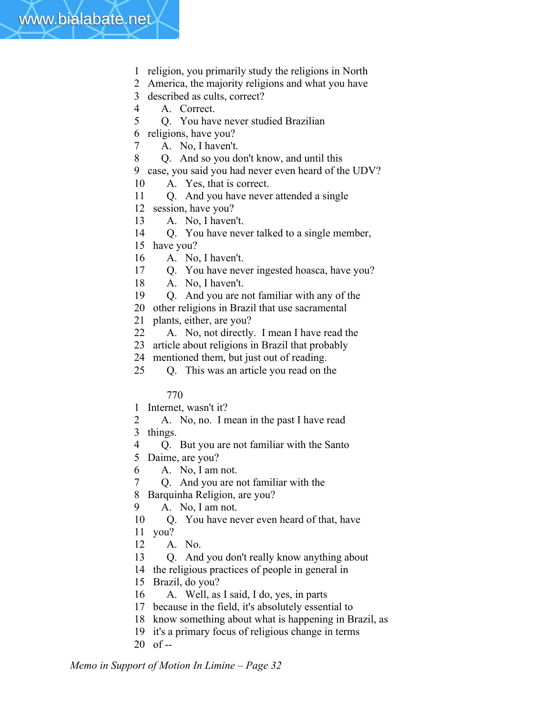- 1 religion, you primarily study the religions in North
- 2 America, the majority religions and what you have
- 3 described as cults, correct?
- 4 A. Correct.
- 5 Q. You have never studied Brazilian
- 6 religions, have you?
- 7 A. No, I haven't.
- 8 Q. And so you don't know, and until this
- 9 case, you said you had never even heard of the UDV?
- 10 A. Yes, that is correct.
- 11 Q. And you have never attended a single
- 12 session, have you?
- 13 A. No, I haven't.
- 14 Q. You have never talked to a single member,
- 15 have you?
- 16 A. No, I haven't.
- 17 Q. You have never ingested hoasca, have you?
- 18 A. No, I haven't.
- 19 Q. And you are not familiar with any of the
- 20 other religions in Brazil that use sacramental
- 21 plants, either, are you?
- 22 A. No, not directly. I mean I have read the
- 23 article about religions in Brazil that probably
- 24 mentioned them, but just out of reading.
- 25 Q. This was an article you read on the

- 1 Internet, wasn't it?
- 2 A. No, no. I mean in the past I have read 3 things.
- 4 Q. But you are not familiar with the Santo
- 5 Daime, are you?
- 6 A. No, I am not.
- 7 Q. And you are not familiar with the
- 8 Barquinha Religion, are you?
- 9 A. No, I am not.
- 10 Q. You have never even heard of that, have
- 11 you?
- 12 A. No.
- 13 Q. And you don't really know anything about
- 14 the religious practices of people in general in
- 15 Brazil, do you?
- 16 A. Well, as I said, I do, yes, in parts
- 17 because in the field, it's absolutely essential to
- 18 know something about what is happening in Brazil, as
- 19 it's a primary focus of religious change in terms
- $20$  of --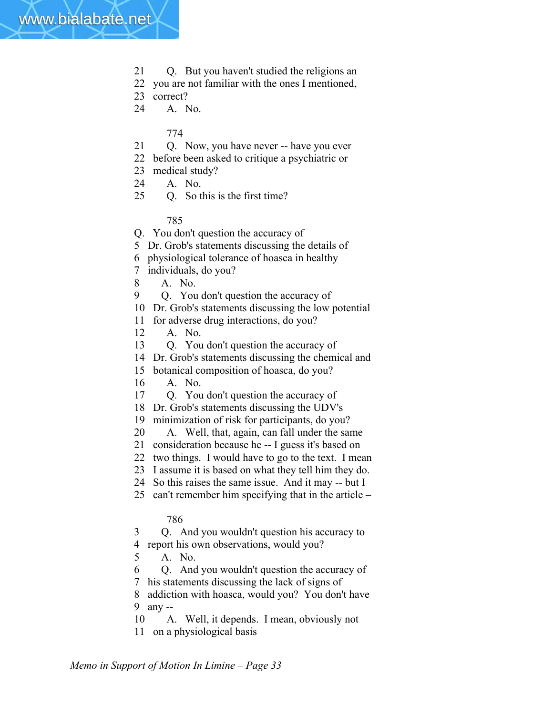- 21 O. But you haven't studied the religions an
- 22 you are not familiar with the ones I mentioned,
- 23 correct?
- 24 A. No.

- 21 Q. Now, you have never -- have you ever
- 22 before been asked to critique a psychiatric or
- 23 medical study?
- 24 A. No.
- 25 Q. So this is the first time?

785

Q. You don't question the accuracy of

- 5 Dr. Grob's statements discussing the details of
- 6 physiological tolerance of hoasca in healthy
- 7 individuals, do you?
- 8 A. No.
- 9 Q. You don't question the accuracy of
- 10 Dr. Grob's statements discussing the low potential
- 11 for adverse drug interactions, do you?
- 12 A. No.
- 13 Q. You don't question the accuracy of
- 14 Dr. Grob's statements discussing the chemical and
- 15 botanical composition of hoasca, do you?
- 16 A. No.
- 17 Q. You don't question the accuracy of
- 18 Dr. Grob's statements discussing the UDV's
- 19 minimization of risk for participants, do you?
- 20 A. Well, that, again, can fall under the same
- 21 consideration because he -- I guess it's based on
- 22 two things. I would have to go to the text. I mean
- 23 I assume it is based on what they tell him they do.
- 24 So this raises the same issue. And it may -- but I
- 25 can't remember him specifying that in the article –

#### 786

3 Q. And you wouldn't question his accuracy to 4 report his own observations, would you?

- 5 A. No.
- 6 Q. And you wouldn't question the accuracy of 7 his statements discussing the lack of signs of
- 8 addiction with hoasca, would you? You don't have 9 any --
- 10 A. Well, it depends. I mean, obviously not 11 on a physiological basis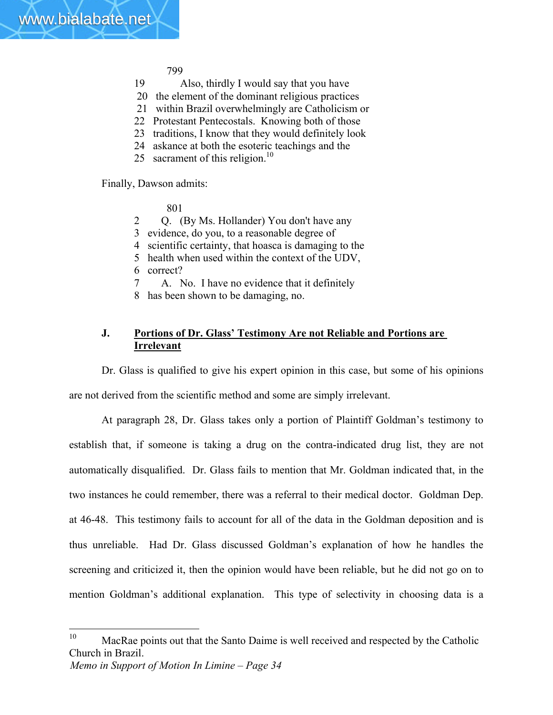- 19 Also, thirdly I would say that you have
- 20 the element of the dominant religious practices
- 21 within Brazil overwhelmingly are Catholicism or
- 22 Protestant Pentecostals. Knowing both of those
- 23 traditions, I know that they would definitely look
- 24 askance at both the esoteric teachings and the
- 25 sacrament of this religion.<sup>10</sup>

Finally, Dawson admits:

801

- 2 Q. (By Ms. Hollander) You don't have any
- 3 evidence, do you, to a reasonable degree of
- 4 scientific certainty, that hoasca is damaging to the
- 5 health when used within the context of the UDV,
- 6 correct?
- 7 A. No. I have no evidence that it definitely
- 8 has been shown to be damaging, no.

# **J. Portions of Dr. Glass' Testimony Are not Reliable and Portions are Irrelevant**

Dr. Glass is qualified to give his expert opinion in this case, but some of his opinions are not derived from the scientific method and some are simply irrelevant.

At paragraph 28, Dr. Glass takes only a portion of Plaintiff Goldman's testimony to establish that, if someone is taking a drug on the contra-indicated drug list, they are not automatically disqualified. Dr. Glass fails to mention that Mr. Goldman indicated that, in the two instances he could remember, there was a referral to their medical doctor. Goldman Dep. at 46-48. This testimony fails to account for all of the data in the Goldman deposition and is thus unreliable. Had Dr. Glass discussed Goldman's explanation of how he handles the screening and criticized it, then the opinion would have been reliable, but he did not go on to mention Goldman's additional explanation. This type of selectivity in choosing data is a

 $10<sup>10</sup>$ MacRae points out that the Santo Daime is well received and respected by the Catholic Church in Brazil.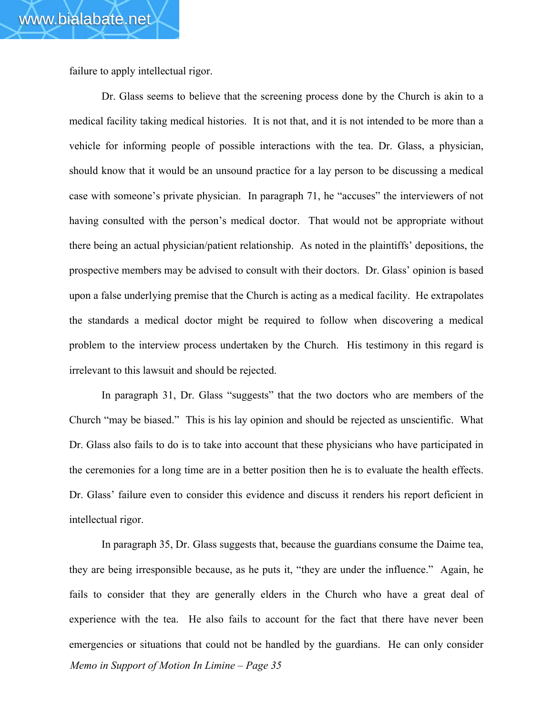failure to apply intellectual rigor.

Dr. Glass seems to believe that the screening process done by the Church is akin to a medical facility taking medical histories. It is not that, and it is not intended to be more than a vehicle for informing people of possible interactions with the tea. Dr. Glass, a physician, should know that it would be an unsound practice for a lay person to be discussing a medical case with someone's private physician. In paragraph 71, he "accuses" the interviewers of not having consulted with the person's medical doctor. That would not be appropriate without there being an actual physician/patient relationship. As noted in the plaintiffs' depositions, the prospective members may be advised to consult with their doctors. Dr. Glass' opinion is based upon a false underlying premise that the Church is acting as a medical facility. He extrapolates the standards a medical doctor might be required to follow when discovering a medical problem to the interview process undertaken by the Church. His testimony in this regard is irrelevant to this lawsuit and should be rejected.

In paragraph 31, Dr. Glass "suggests" that the two doctors who are members of the Church "may be biased." This is his lay opinion and should be rejected as unscientific. What Dr. Glass also fails to do is to take into account that these physicians who have participated in the ceremonies for a long time are in a better position then he is to evaluate the health effects. Dr. Glass' failure even to consider this evidence and discuss it renders his report deficient in intellectual rigor.

*Memo in Support of Motion In Limine – Page 35* In paragraph 35, Dr. Glass suggests that, because the guardians consume the Daime tea, they are being irresponsible because, as he puts it, "they are under the influence." Again, he fails to consider that they are generally elders in the Church who have a great deal of experience with the tea. He also fails to account for the fact that there have never been emergencies or situations that could not be handled by the guardians. He can only consider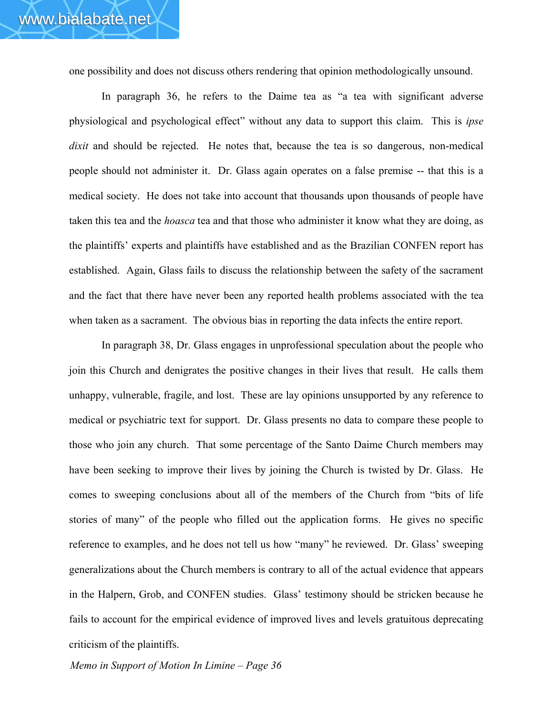one possibility and does not discuss others rendering that opinion methodologically unsound.

In paragraph 36, he refers to the Daime tea as "a tea with significant adverse physiological and psychological effect" without any data to support this claim. This is *ipse dixit* and should be rejected. He notes that, because the tea is so dangerous, non-medical people should not administer it. Dr. Glass again operates on a false premise -- that this is a medical society. He does not take into account that thousands upon thousands of people have taken this tea and the *hoasca* tea and that those who administer it know what they are doing, as the plaintiffs' experts and plaintiffs have established and as the Brazilian CONFEN report has established. Again, Glass fails to discuss the relationship between the safety of the sacrament and the fact that there have never been any reported health problems associated with the tea when taken as a sacrament. The obvious bias in reporting the data infects the entire report.

In paragraph 38, Dr. Glass engages in unprofessional speculation about the people who join this Church and denigrates the positive changes in their lives that result. He calls them unhappy, vulnerable, fragile, and lost. These are lay opinions unsupported by any reference to medical or psychiatric text for support. Dr. Glass presents no data to compare these people to those who join any church. That some percentage of the Santo Daime Church members may have been seeking to improve their lives by joining the Church is twisted by Dr. Glass. He comes to sweeping conclusions about all of the members of the Church from "bits of life stories of many" of the people who filled out the application forms. He gives no specific reference to examples, and he does not tell us how "many" he reviewed. Dr. Glass' sweeping generalizations about the Church members is contrary to all of the actual evidence that appears in the Halpern, Grob, and CONFEN studies. Glass' testimony should be stricken because he fails to account for the empirical evidence of improved lives and levels gratuitous deprecating criticism of the plaintiffs.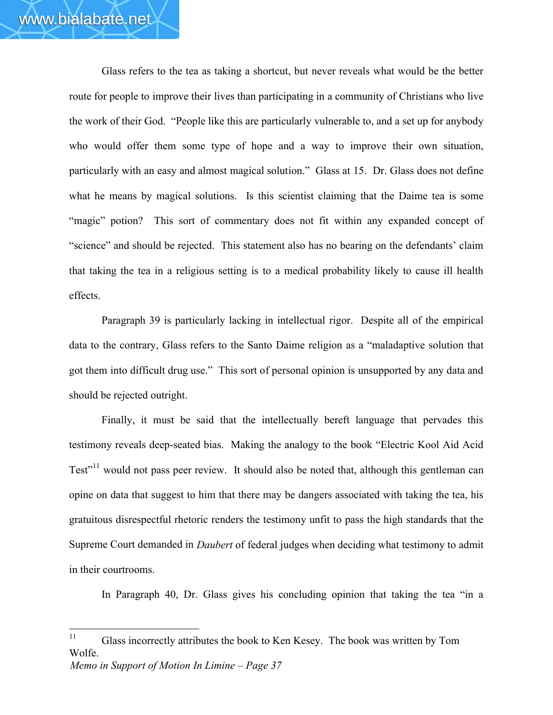Glass refers to the tea as taking a shortcut, but never reveals what would be the better route for people to improve their lives than participating in a community of Christians who live the work of their God. "People like this are particularly vulnerable to, and a set up for anybody who would offer them some type of hope and a way to improve their own situation, particularly with an easy and almost magical solution." Glass at 15.Dr. Glass does not define what he means by magical solutions. Is this scientist claiming that the Daime tea is some "magic" potion? This sort of commentary does not fit within any expanded concept of "science" and should be rejected. This statement also has no bearing on the defendants' claim that taking the tea in a religious setting is to a medical probability likely to cause ill health effects.

Paragraph 39 is particularly lacking in intellectual rigor. Despite all of the empirical data to the contrary, Glass refers to the Santo Daime religion as a "maladaptive solution that got them into difficult drug use." This sort of personal opinion is unsupported by any data and should be rejected outright.

Finally, it must be said that the intellectually bereft language that pervades this testimony reveals deep-seated bias. Making the analogy to the book "Electric Kool Aid Acid Test<sup>"11</sup> would not pass peer review. It should also be noted that, although this gentleman can opine on data that suggest to him that there may be dangers associated with taking the tea, his gratuitous disrespectful rhetoric renders the testimony unfit to pass the high standards that the Supreme Court demanded in *Daubert* of federal judges when deciding what testimony to admit in their courtrooms.

In Paragraph 40, Dr. Glass gives his concluding opinion that taking the tea "in a

*Memo in Support of Motion In Limine – Page 37*  $11$ Glass incorrectly attributes the book to Ken Kesey. The book was written by Tom Wolfe.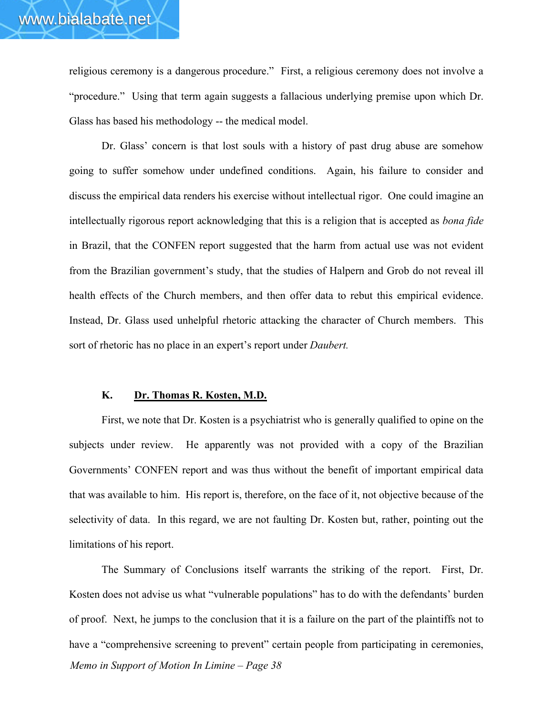religious ceremony is a dangerous procedure." First, a religious ceremony does not involve a "procedure." Using that term again suggests a fallacious underlying premise upon which Dr. Glass has based his methodology -- the medical model.

Dr. Glass' concern is that lost souls with a history of past drug abuse are somehow going to suffer somehow under undefined conditions. Again, his failure to consider and discuss the empirical data renders his exercise without intellectual rigor. One could imagine an intellectually rigorous report acknowledging that this is a religion that is accepted as *bona fide* in Brazil, that the CONFEN report suggested that the harm from actual use was not evident from the Brazilian government's study, that the studies of Halpern and Grob do not reveal ill health effects of the Church members, and then offer data to rebut this empirical evidence. Instead, Dr. Glass used unhelpful rhetoric attacking the character of Church members. This sort of rhetoric has no place in an expert's report under *Daubert.*

#### **K. Dr. Thomas R. Kosten, M.D.**

First, we note that Dr. Kosten is a psychiatrist who is generally qualified to opine on the subjects under review. He apparently was not provided with a copy of the Brazilian Governments' CONFEN report and was thus without the benefit of important empirical data that was available to him. His report is, therefore, on the face of it, not objective because of the selectivity of data. In this regard, we are not faulting Dr. Kosten but, rather, pointing out the limitations of his report.

*Memo in Support of Motion In Limine – Page 38* The Summary of Conclusions itself warrants the striking of the report. First, Dr. Kosten does not advise us what "vulnerable populations" has to do with the defendants' burden of proof. Next, he jumps to the conclusion that it is a failure on the part of the plaintiffs not to have a "comprehensive screening to prevent" certain people from participating in ceremonies,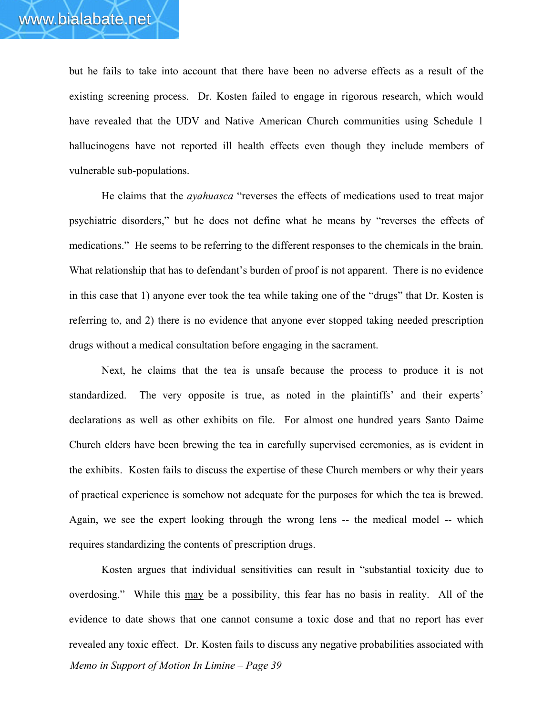but he fails to take into account that there have been no adverse effects as a result of the existing screening process. Dr. Kosten failed to engage in rigorous research, which would have revealed that the UDV and Native American Church communities using Schedule 1 hallucinogens have not reported ill health effects even though they include members of vulnerable sub-populations.

He claims that the *ayahuasca* "reverses the effects of medications used to treat major psychiatric disorders," but he does not define what he means by "reverses the effects of medications." He seems to be referring to the different responses to the chemicals in the brain. What relationship that has to defendant's burden of proof is not apparent. There is no evidence in this case that 1) anyone ever took the tea while taking one of the "drugs" that Dr. Kosten is referring to, and 2) there is no evidence that anyone ever stopped taking needed prescription drugs without a medical consultation before engaging in the sacrament.

Next, he claims that the tea is unsafe because the process to produce it is not standardized. The very opposite is true, as noted in the plaintiffs' and their experts' declarations as well as other exhibits on file. For almost one hundred years Santo Daime Church elders have been brewing the tea in carefully supervised ceremonies, as is evident in the exhibits. Kosten fails to discuss the expertise of these Church members or why their years of practical experience is somehow not adequate for the purposes for which the tea is brewed. Again, we see the expert looking through the wrong lens -- the medical model -- which requires standardizing the contents of prescription drugs.

*Memo in Support of Motion In Limine – Page 39* Kosten argues that individual sensitivities can result in "substantial toxicity due to overdosing." While this may be a possibility, this fear has no basis in reality. All of the evidence to date shows that one cannot consume a toxic dose and that no report has ever revealed any toxic effect. Dr. Kosten fails to discuss any negative probabilities associated with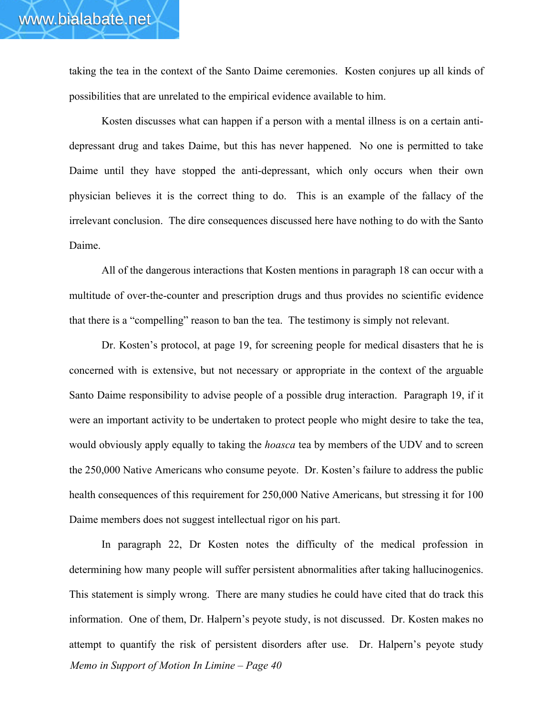taking the tea in the context of the Santo Daime ceremonies. Kosten conjures up all kinds of possibilities that are unrelated to the empirical evidence available to him.

Kosten discusses what can happen if a person with a mental illness is on a certain antidepressant drug and takes Daime, but this has never happened. No one is permitted to take Daime until they have stopped the anti-depressant, which only occurs when their own physician believes it is the correct thing to do. This is an example of the fallacy of the irrelevant conclusion. The dire consequences discussed here have nothing to do with the Santo Daime.

All of the dangerous interactions that Kosten mentions in paragraph 18 can occur with a multitude of over-the-counter and prescription drugs and thus provides no scientific evidence that there is a "compelling" reason to ban the tea. The testimony is simply not relevant.

Dr. Kosten's protocol, at page 19, for screening people for medical disasters that he is concerned with is extensive, but not necessary or appropriate in the context of the arguable Santo Daime responsibility to advise people of a possible drug interaction. Paragraph 19, if it were an important activity to be undertaken to protect people who might desire to take the tea, would obviously apply equally to taking the *hoasca* tea by members of the UDV and to screen the 250,000 Native Americans who consume peyote. Dr. Kosten's failure to address the public health consequences of this requirement for 250,000 Native Americans, but stressing it for 100 Daime members does not suggest intellectual rigor on his part.

*Memo in Support of Motion In Limine – Page 40* In paragraph 22, Dr Kosten notes the difficulty of the medical profession in determining how many people will suffer persistent abnormalities after taking hallucinogenics. This statement is simply wrong. There are many studies he could have cited that do track this information. One of them, Dr. Halpern's peyote study, is not discussed. Dr. Kosten makes no attempt to quantify the risk of persistent disorders after use. Dr. Halpern's peyote study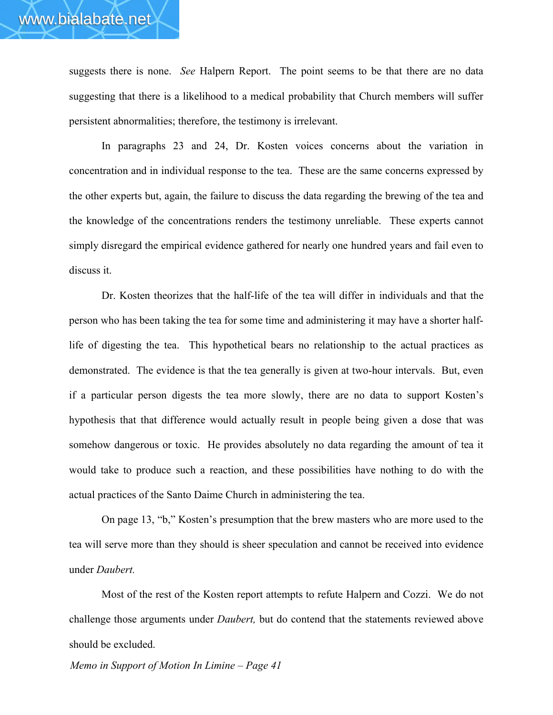suggests there is none. *See* Halpern Report. The point seems to be that there are no data suggesting that there is a likelihood to a medical probability that Church members will suffer persistent abnormalities; therefore, the testimony is irrelevant.

In paragraphs 23 and 24, Dr. Kosten voices concerns about the variation in concentration and in individual response to the tea. These are the same concerns expressed by the other experts but, again, the failure to discuss the data regarding the brewing of the tea and the knowledge of the concentrations renders the testimony unreliable. These experts cannot simply disregard the empirical evidence gathered for nearly one hundred years and fail even to discuss it.

Dr. Kosten theorizes that the half-life of the tea will differ in individuals and that the person who has been taking the tea for some time and administering it may have a shorter halflife of digesting the tea. This hypothetical bears no relationship to the actual practices as demonstrated. The evidence is that the tea generally is given at two-hour intervals. But, even if a particular person digests the tea more slowly, there are no data to support Kosten's hypothesis that that difference would actually result in people being given a dose that was somehow dangerous or toxic. He provides absolutely no data regarding the amount of tea it would take to produce such a reaction, and these possibilities have nothing to do with the actual practices of the Santo Daime Church in administering the tea.

On page 13, "b," Kosten's presumption that the brew masters who are more used to the tea will serve more than they should is sheer speculation and cannot be received into evidence under *Daubert.*

Most of the rest of the Kosten report attempts to refute Halpern and Cozzi. We do not challenge those arguments under *Daubert,* but do contend that the statements reviewed above should be excluded.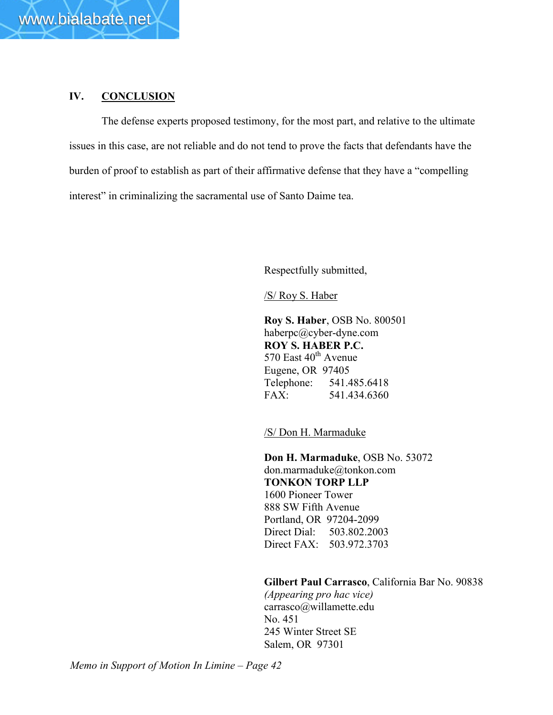

# **IV. CONCLUSION**

The defense experts proposed testimony, for the most part, and relative to the ultimate issues in this case, are not reliable and do not tend to prove the facts that defendants have the burden of proof to establish as part of their affirmative defense that they have a "compelling interest" in criminalizing the sacramental use of Santo Daime tea.

Respectfully submitted,

/S/ Roy S. Haber

**Roy S. Haber**, OSB No. 800501 haberpc@cyber-dyne.com **ROY S. HABER P.C.** 570 East  $40^{\text{th}}$  Avenue Eugene, OR 97405 Telephone: 541.485.6418 FAX: 541.434.6360

/S/ Don H. Marmaduke

**Don H. Marmaduke**, OSB No. 53072 don.marmaduke@tonkon.com **TONKON TORP LLP** 1600 Pioneer Tower 888 SW Fifth Avenue Portland, OR 97204-2099 Direct Dial: 503.802.2003 Direct FAX: 503.972.3703

**Gilbert Paul Carrasco**, California Bar No. 90838

*(Appearing pro hac vice)* carrasco@willamette.edu No. 451 245 Winter Street SE Salem, OR 97301